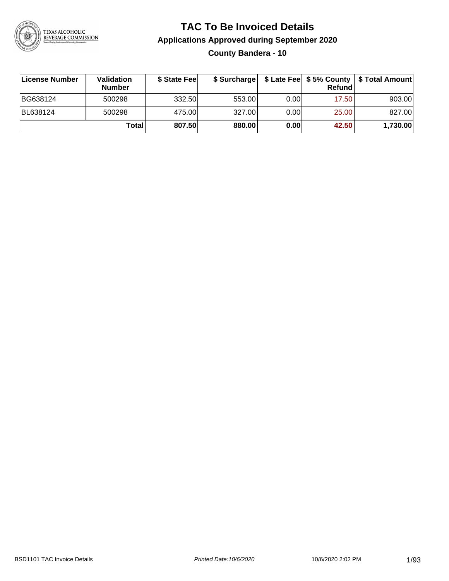

**County Bandera - 10**

| License Number | <b>Validation</b><br><b>Number</b> | \$ State Feel |        |      | <b>Refund</b> | \$ Surcharge   \$ Late Fee   \$5% County   \$ Total Amount |
|----------------|------------------------------------|---------------|--------|------|---------------|------------------------------------------------------------|
| BG638124       | 500298                             | 332.50        | 553.00 | 0.00 | 17.50         | 903.00                                                     |
| BL638124       | 500298                             | 475.00        | 327.00 | 0.00 | 25.00         | 827.00                                                     |
|                | Total                              | 807.50        | 880.00 | 0.00 | 42.50         | 1,730.00                                                   |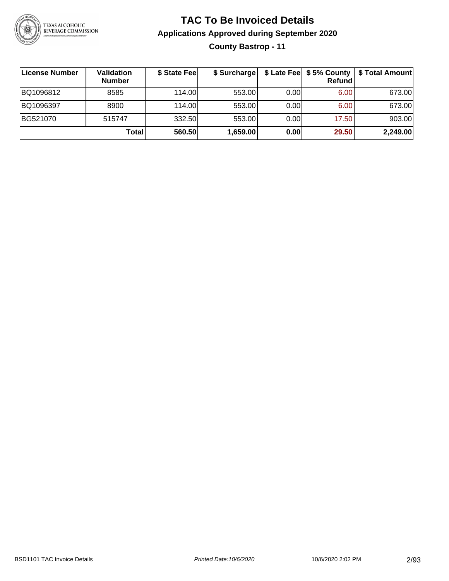

### **TAC To Be Invoiced Details Applications Approved during September 2020 County Bastrop - 11**

| License Number | <b>Validation</b><br><b>Number</b> | \$ State Fee | \$ Surcharge |      | \$ Late Fee   \$5% County  <br>Refund | \$ Total Amount |
|----------------|------------------------------------|--------------|--------------|------|---------------------------------------|-----------------|
| BQ1096812      | 8585                               | 114.00       | 553.00       | 0.00 | 6.00                                  | 673.00          |
| BQ1096397      | 8900                               | 114.00       | 553.00       | 0.00 | 6.00                                  | 673.00          |
| BG521070       | 515747                             | 332.50       | 553.00       | 0.00 | 17.50                                 | 903.00          |
|                | Totall                             | 560.50       | 1,659.00     | 0.00 | 29.50                                 | 2,249.00        |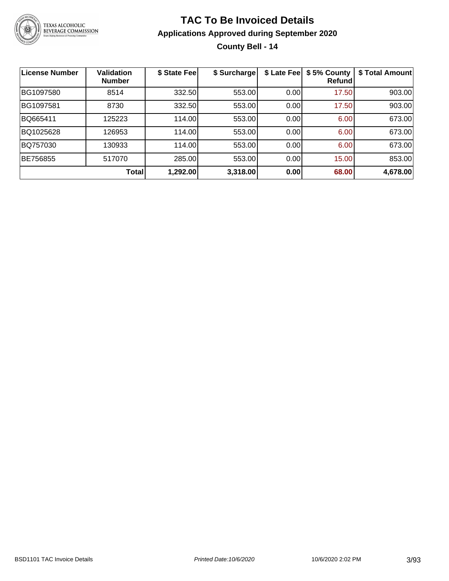

### **TAC To Be Invoiced Details Applications Approved during September 2020 County Bell - 14**

| <b>License Number</b> | <b>Validation</b><br><b>Number</b> | \$ State Fee | \$ Surcharge | \$ Late Fee | \$5% County<br>Refundl | \$ Total Amount |
|-----------------------|------------------------------------|--------------|--------------|-------------|------------------------|-----------------|
| BG1097580             | 8514                               | 332.50       | 553.00       | 0.00        | 17.50                  | 903.00          |
| BG1097581             | 8730                               | 332.50       | 553.00       | 0.00        | 17.50                  | 903.00          |
| BQ665411              | 125223                             | 114.00       | 553.00       | 0.00        | 6.00                   | 673.00          |
| BQ1025628             | 126953                             | 114.00       | 553.00       | 0.00        | 6.00                   | 673.00          |
| BQ757030              | 130933                             | 114.00       | 553.00       | 0.00        | 6.00                   | 673.00          |
| BE756855              | 517070                             | 285.00       | 553.00       | 0.00        | 15.00                  | 853.00          |
|                       | Total                              | 1,292.00     | 3,318.00     | 0.00        | 68.00                  | 4,678.00        |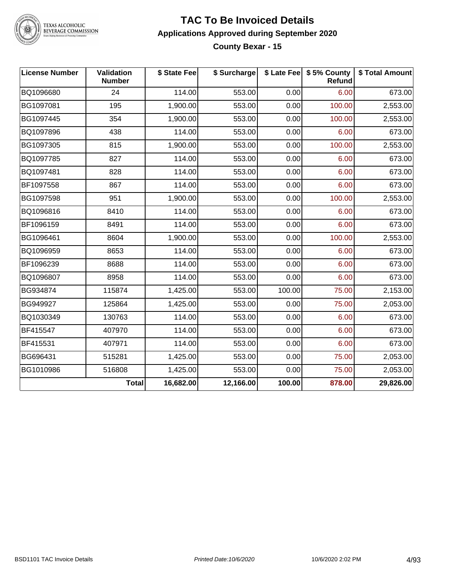

### TEXAS ALCOHOLIC<br>BEVERAGE COMMISSION

#### **TAC To Be Invoiced Details Applications Approved during September 2020 County Bexar - 15**

| <b>License Number</b> | Validation<br><b>Number</b> | \$ State Fee | \$ Surcharge |        | \$ Late Fee   \$5% County<br>Refund | \$ Total Amount |
|-----------------------|-----------------------------|--------------|--------------|--------|-------------------------------------|-----------------|
| BQ1096680             | 24                          | 114.00       | 553.00       | 0.00   | 6.00                                | 673.00          |
| BG1097081             | 195                         | 1,900.00     | 553.00       | 0.00   | 100.00                              | 2,553.00        |
| BG1097445             | 354                         | 1,900.00     | 553.00       | 0.00   | 100.00                              | 2,553.00        |
| BQ1097896             | 438                         | 114.00       | 553.00       | 0.00   | 6.00                                | 673.00          |
| BG1097305             | 815                         | 1,900.00     | 553.00       | 0.00   | 100.00                              | 2,553.00        |
| BQ1097785             | 827                         | 114.00       | 553.00       | 0.00   | 6.00                                | 673.00          |
| BQ1097481             | 828                         | 114.00       | 553.00       | 0.00   | 6.00                                | 673.00          |
| BF1097558             | 867                         | 114.00       | 553.00       | 0.00   | 6.00                                | 673.00          |
| BG1097598             | 951                         | 1,900.00     | 553.00       | 0.00   | 100.00                              | 2,553.00        |
| BQ1096816             | 8410                        | 114.00       | 553.00       | 0.00   | 6.00                                | 673.00          |
| BF1096159             | 8491                        | 114.00       | 553.00       | 0.00   | 6.00                                | 673.00          |
| BG1096461             | 8604                        | 1,900.00     | 553.00       | 0.00   | 100.00                              | 2,553.00        |
| BQ1096959             | 8653                        | 114.00       | 553.00       | 0.00   | 6.00                                | 673.00          |
| BF1096239             | 8688                        | 114.00       | 553.00       | 0.00   | 6.00                                | 673.00          |
| BQ1096807             | 8958                        | 114.00       | 553.00       | 0.00   | 6.00                                | 673.00          |
| BG934874              | 115874                      | 1,425.00     | 553.00       | 100.00 | 75.00                               | 2,153.00        |
| BG949927              | 125864                      | 1,425.00     | 553.00       | 0.00   | 75.00                               | 2,053.00        |
| BQ1030349             | 130763                      | 114.00       | 553.00       | 0.00   | 6.00                                | 673.00          |
| BF415547              | 407970                      | 114.00       | 553.00       | 0.00   | 6.00                                | 673.00          |
| BF415531              | 407971                      | 114.00       | 553.00       | 0.00   | 6.00                                | 673.00          |
| BG696431              | 515281                      | 1,425.00     | 553.00       | 0.00   | 75.00                               | 2,053.00        |
| BG1010986             | 516808                      | 1,425.00     | 553.00       | 0.00   | 75.00                               | 2,053.00        |
|                       | <b>Total</b>                | 16,682.00    | 12,166.00    | 100.00 | 878.00                              | 29,826.00       |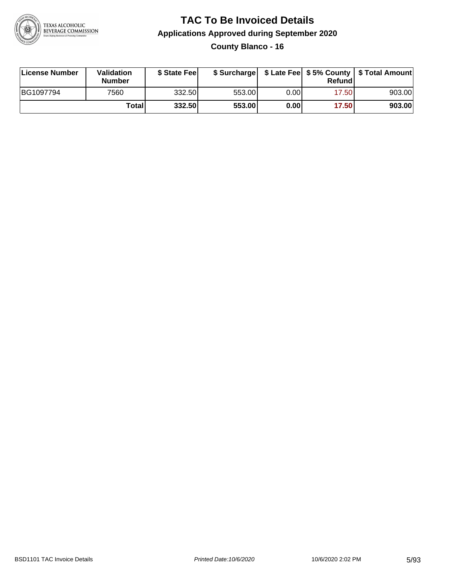

**County Blanco - 16**

| License Number | Validation<br><b>Number</b> | \$ State Feel |        |      | Refundl | \$ Surcharge   \$ Late Fee   \$5% County   \$ Total Amount |
|----------------|-----------------------------|---------------|--------|------|---------|------------------------------------------------------------|
| BG1097794      | 7560                        | 332.50        | 553.00 | 0.00 | 17.50   | 903.00                                                     |
|                | Totall                      | 332.50        | 553.00 | 0.00 | 17.50   | 903.00                                                     |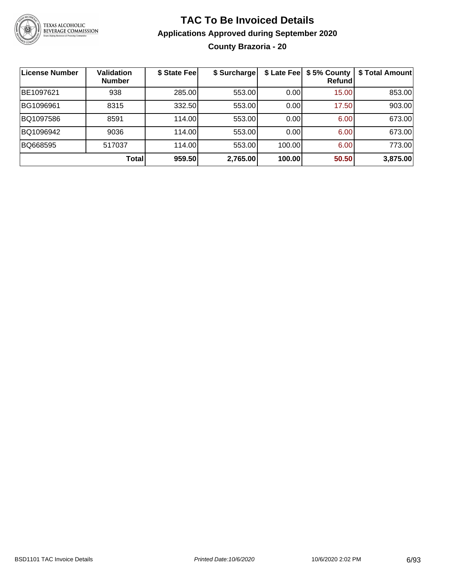

### **TAC To Be Invoiced Details Applications Approved during September 2020 County Brazoria - 20**

| <b>License Number</b> | <b>Validation</b><br><b>Number</b> | \$ State Fee | \$ Surcharge |        | \$ Late Fee   \$5% County<br><b>Refund</b> | \$ Total Amount |
|-----------------------|------------------------------------|--------------|--------------|--------|--------------------------------------------|-----------------|
| BE1097621             | 938                                | 285.00       | 553.00       | 0.00   | 15.00                                      | 853.00          |
| BG1096961             | 8315                               | 332.50       | 553.00       | 0.00   | 17.50                                      | 903.00          |
| BQ1097586             | 8591                               | 114.00       | 553.00       | 0.00   | 6.00                                       | 673.00          |
| BQ1096942             | 9036                               | 114.00       | 553.00       | 0.00   | 6.00                                       | 673.00          |
| BQ668595              | 517037                             | 114.00       | 553.00       | 100.00 | 6.00                                       | 773.00          |
|                       | <b>Total</b>                       | 959.50       | 2,765.00     | 100.00 | 50.50                                      | 3,875.00        |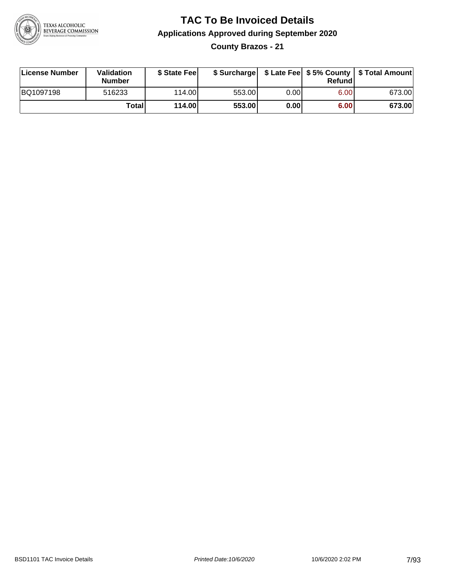

**County Brazos - 21**

| License Number | <b>Validation</b><br>Number | \$ State Fee | \$ Surcharge |       | Refundl | \$ Late Fee   \$5% County   \$ Total Amount |
|----------------|-----------------------------|--------------|--------------|-------|---------|---------------------------------------------|
| BQ1097198      | 516233                      | 114.00L      | 553.00       | 0.001 | 6.00    | 673.00                                      |
|                | Totall                      | 114.00       | 553.00       | 0.00  | 6.00    | 673.00                                      |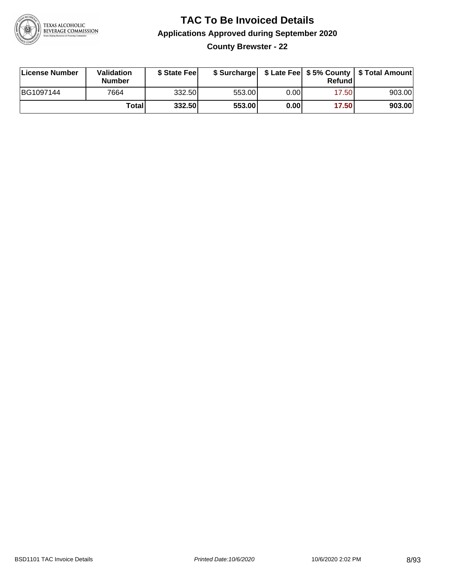

**County Brewster - 22**

| License Number | Validation<br><b>Number</b> | \$ State Fee |        |       | Refundl | \$ Surcharge   \$ Late Fee   \$5% County   \$ Total Amount |
|----------------|-----------------------------|--------------|--------|-------|---------|------------------------------------------------------------|
| BG1097144      | 7664                        | 332.50       | 553.00 | 0.00I | 17.50   | 903.00                                                     |
|                | Totall                      | 332.50       | 553.00 | 0.00  | 17.50   | 903.00                                                     |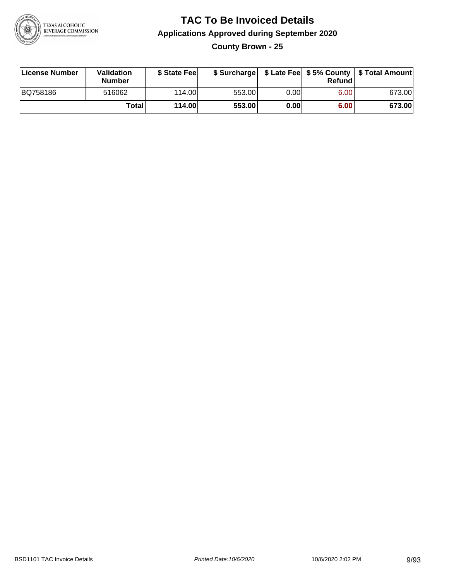

**County Brown - 25**

| License Number | <b>Validation</b><br><b>Number</b> | \$ State Fee |        |      | Refundl | \$ Surcharge   \$ Late Fee   \$5% County   \$ Total Amount |
|----------------|------------------------------------|--------------|--------|------|---------|------------------------------------------------------------|
| BQ758186       | 516062                             | 114.00L      | 553.00 | 0.00 | 6.00    | 673.00                                                     |
|                | Totall                             | 114.00       | 553.00 | 0.00 | 6.00    | 673.00                                                     |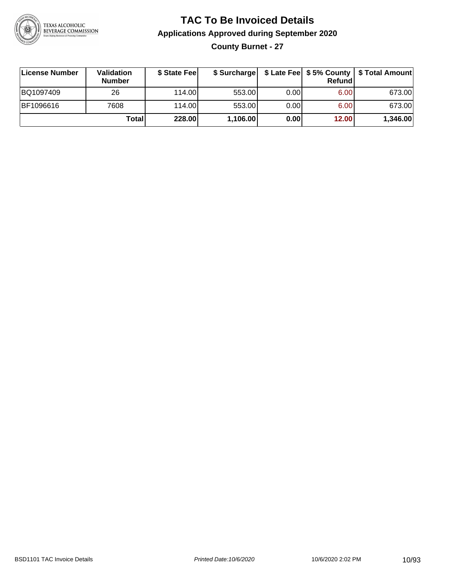

### **TAC To Be Invoiced Details Applications Approved during September 2020 County Burnet - 27**

| License Number | Validation<br><b>Number</b> | \$ State Fee | \$ Surcharge |      | Refund | \$ Late Fee   \$5% County   \$ Total Amount |
|----------------|-----------------------------|--------------|--------------|------|--------|---------------------------------------------|
| BQ1097409      | 26                          | 114.00L      | 553.00       | 0.00 | 6.00   | 673.00                                      |
| BF1096616      | 7608                        | 114.00L      | 553.00       | 0.00 | 6.00   | 673.00                                      |
|                | Total                       | 228.00       | 1,106.00     | 0.00 | 12.00  | 1,346.00                                    |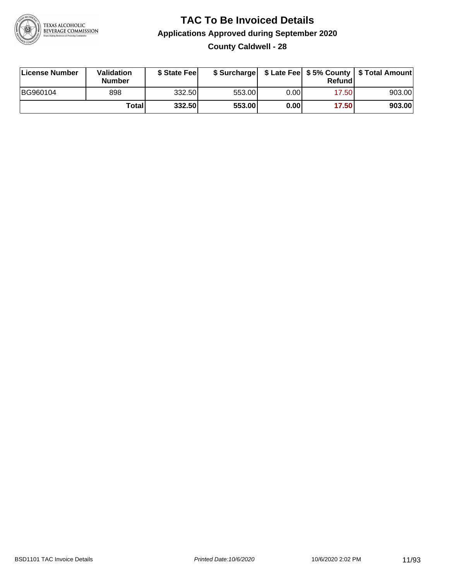

### **TAC To Be Invoiced Details Applications Approved during September 2020 County Caldwell - 28**

| License Number | Validation<br><b>Number</b> | \$ State Fee |        |      | Refund | \$ Surcharge   \$ Late Fee   \$5% County   \$ Total Amount |
|----------------|-----------------------------|--------------|--------|------|--------|------------------------------------------------------------|
| BG960104       | 898                         | 332.50       | 553.00 | 0.00 | 17.50  | 903.00                                                     |
|                | Totall                      | 332.50       | 553.00 | 0.00 | 17.50  | 903.00                                                     |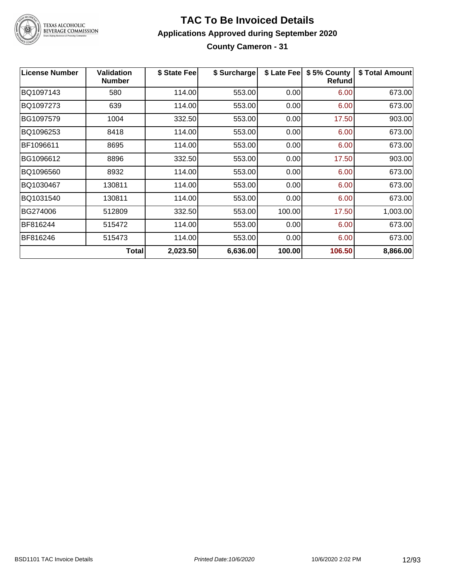

### TEXAS ALCOHOLIC<br>BEVERAGE COMMISSION

#### **TAC To Be Invoiced Details Applications Approved during September 2020 County Cameron - 31**

| <b>License Number</b> | <b>Validation</b><br><b>Number</b> | \$ State Fee | \$ Surcharge | \$ Late Fee | \$5% County<br>Refundl | \$ Total Amount |
|-----------------------|------------------------------------|--------------|--------------|-------------|------------------------|-----------------|
| BQ1097143             | 580                                | 114.00       | 553.00       | 0.00        | 6.00                   | 673.00          |
| BQ1097273             | 639                                | 114.00       | 553.00       | 0.00        | 6.00                   | 673.00          |
| BG1097579             | 1004                               | 332.50       | 553.00       | 0.00        | 17.50                  | 903.00          |
| BQ1096253             | 8418                               | 114.00       | 553.00       | 0.00        | 6.00                   | 673.00          |
| BF1096611             | 8695                               | 114.00       | 553.00       | 0.00        | 6.00                   | 673.00          |
| BG1096612             | 8896                               | 332.50       | 553.00       | 0.00        | 17.50                  | 903.00          |
| BQ1096560             | 8932                               | 114.00       | 553.00       | 0.00        | 6.00                   | 673.00          |
| BQ1030467             | 130811                             | 114.00       | 553.00       | 0.00        | 6.00                   | 673.00          |
| BQ1031540             | 130811                             | 114.00       | 553.00       | 0.00        | 6.00                   | 673.00          |
| BG274006              | 512809                             | 332.50       | 553.00       | 100.00      | 17.50                  | 1,003.00        |
| BF816244              | 515472                             | 114.00       | 553.00       | 0.00        | 6.00                   | 673.00          |
| BF816246              | 515473                             | 114.00       | 553.00       | 0.00        | 6.00                   | 673.00          |
|                       | Total                              | 2,023.50     | 6,636.00     | 100.00      | 106.50                 | 8,866.00        |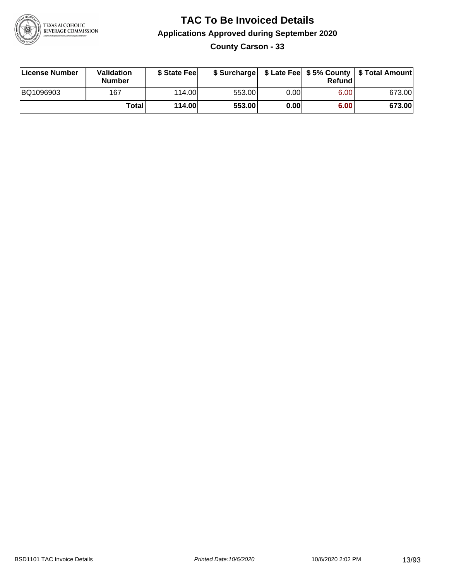

**County Carson - 33**

| License Number | Validation<br><b>Number</b> | \$ State Feel   | \$ Surcharge |      | Refundl |        |
|----------------|-----------------------------|-----------------|--------------|------|---------|--------|
| BQ1096903      | 167                         | 114.00 <b>1</b> | 553.00       | 0.00 | 6.00    | 673.00 |
|                | Totall                      | 114.00          | 553.00       | 0.00 | 6.00    | 673.00 |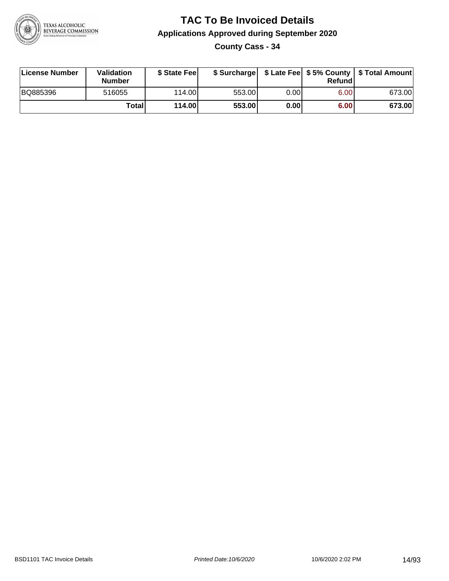

**County Cass - 34**

| License Number | Validation<br><b>Number</b> | \$ State Feel |        |      | Refundl | \$ Surcharge   \$ Late Fee   \$5% County   \$ Total Amount |
|----------------|-----------------------------|---------------|--------|------|---------|------------------------------------------------------------|
| BQ885396       | 516055                      | 114.00L       | 553.00 | 0.00 | 6.00    | 673.00                                                     |
|                | Totall                      | 114.00        | 553.00 | 0.00 | 6.00    | 673.00                                                     |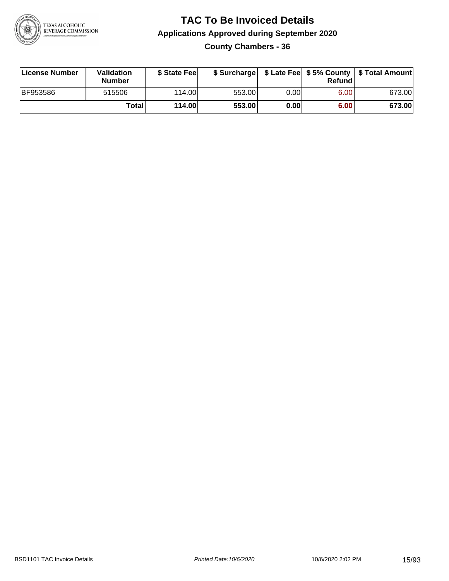

### **TAC To Be Invoiced Details Applications Approved during September 2020 County Chambers - 36**

| License Number  | Validation<br><b>Number</b> | \$ State Feel |        |      | Refund | \$ Surcharge   \$ Late Fee   \$5% County   \$ Total Amount |
|-----------------|-----------------------------|---------------|--------|------|--------|------------------------------------------------------------|
| <b>BF953586</b> | 515506                      | 114.00L       | 553.00 | 0.00 | 6.00   | 673.00                                                     |
|                 | Totall                      | 114.00        | 553.00 | 0.00 | 6.00   | 673.00                                                     |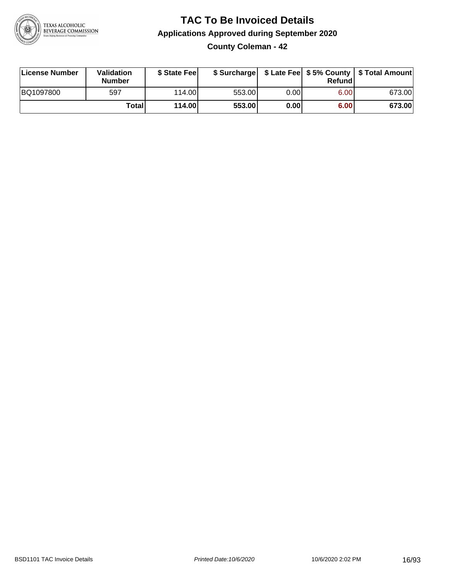

**County Coleman - 42**

| License Number | <b>Validation</b><br><b>Number</b> | \$ State Fee |        |       | Refundl | \$ Surcharge   \$ Late Fee   \$5% County   \$ Total Amount |
|----------------|------------------------------------|--------------|--------|-------|---------|------------------------------------------------------------|
| BQ1097800      | 597                                | 114.00       | 553.00 | 0.001 | 6.00    | 673.00                                                     |
|                | Totall                             | 114.00       | 553.00 | 0.00  | 6.00    | 673.00                                                     |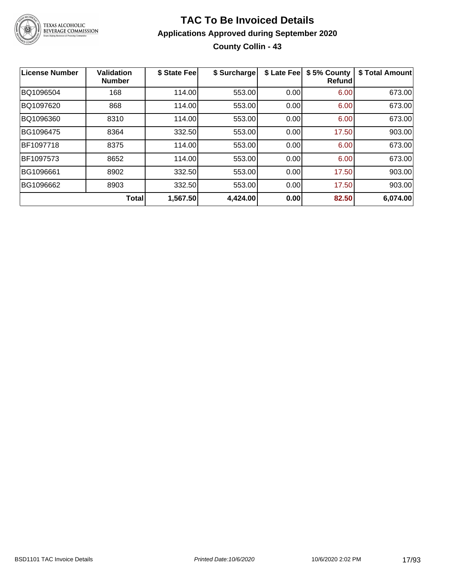

### **TAC To Be Invoiced Details Applications Approved during September 2020 County Collin - 43**

| <b>License Number</b> | <b>Validation</b><br><b>Number</b> | \$ State Fee | \$ Surcharge | \$ Late Fee | \$5% County<br><b>Refund</b> | \$ Total Amount |
|-----------------------|------------------------------------|--------------|--------------|-------------|------------------------------|-----------------|
| BQ1096504             | 168                                | 114.00       | 553.00       | 0.00        | 6.00                         | 673.00          |
| BQ1097620             | 868                                | 114.00       | 553.00       | 0.00        | 6.00                         | 673.00          |
| BQ1096360             | 8310                               | 114.00       | 553.00       | 0.00        | 6.00                         | 673.00          |
| BG1096475             | 8364                               | 332.50       | 553.00       | 0.00        | 17.50                        | 903.00          |
| BF1097718             | 8375                               | 114.00       | 553.00       | 0.00        | 6.00                         | 673.00          |
| BF1097573             | 8652                               | 114.00       | 553.00       | 0.00        | 6.00                         | 673.00          |
| BG1096661             | 8902                               | 332.50       | 553.00       | 0.00        | 17.50                        | 903.00          |
| BG1096662             | 8903                               | 332.50       | 553.00       | 0.00        | 17.50                        | 903.00          |
|                       | <b>Total</b>                       | 1,567.50     | 4,424.00     | 0.00        | 82.50                        | 6,074.00        |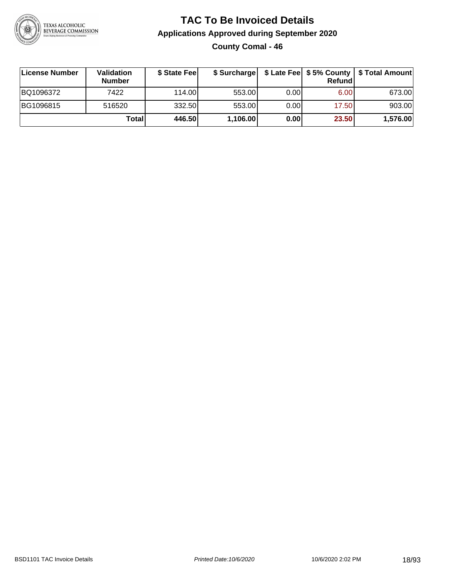

**County Comal - 46**

| License Number | <b>Validation</b><br><b>Number</b> | \$ State Fee |          |      | <b>Refund</b> | \$ Surcharge   \$ Late Fee   \$5% County   \$ Total Amount |
|----------------|------------------------------------|--------------|----------|------|---------------|------------------------------------------------------------|
| BQ1096372      | 7422                               | 114.00       | 553.00   | 0.00 | 6.00          | 673.00                                                     |
| BG1096815      | 516520                             | 332.50       | 553.00   | 0.00 | 17.50         | 903.00                                                     |
|                | Totall                             | 446.50       | 1,106.00 | 0.00 | 23.50         | 1,576.00                                                   |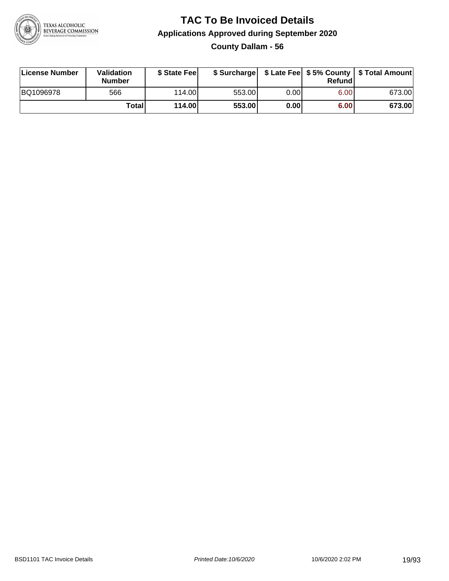

**County Dallam - 56**

| License Number | Validation<br><b>Number</b> | \$ State Feel |        |      | Refundl | \$ Surcharge   \$ Late Fee   \$5% County   \$ Total Amount |
|----------------|-----------------------------|---------------|--------|------|---------|------------------------------------------------------------|
| BQ1096978      | 566                         | 114.00        | 553.00 | 0.00 | 6.00    | 673.00                                                     |
|                | Totall                      | 114.00        | 553.00 | 0.00 | 6.00    | 673.00                                                     |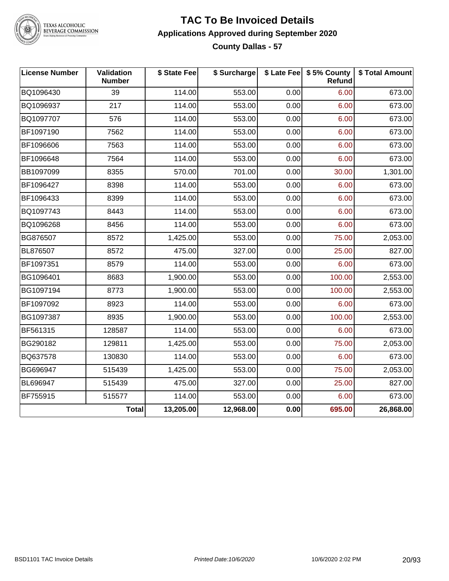

TEXAS ALCOHOLIC<br>BEVERAGE COMMISSION

#### **TAC To Be Invoiced Details Applications Approved during September 2020 County Dallas - 57**

| <b>License Number</b> | Validation<br><b>Number</b> | \$ State Fee | \$ Surcharge |      | \$ Late Fee   \$5% County<br>Refund | \$ Total Amount |
|-----------------------|-----------------------------|--------------|--------------|------|-------------------------------------|-----------------|
| BQ1096430             | 39                          | 114.00       | 553.00       | 0.00 | 6.00                                | 673.00          |
| BQ1096937             | 217                         | 114.00       | 553.00       | 0.00 | 6.00                                | 673.00          |
| BQ1097707             | 576                         | 114.00       | 553.00       | 0.00 | 6.00                                | 673.00          |
| BF1097190             | 7562                        | 114.00       | 553.00       | 0.00 | 6.00                                | 673.00          |
| BF1096606             | 7563                        | 114.00       | 553.00       | 0.00 | 6.00                                | 673.00          |
| BF1096648             | 7564                        | 114.00       | 553.00       | 0.00 | 6.00                                | 673.00          |
| BB1097099             | 8355                        | 570.00       | 701.00       | 0.00 | 30.00                               | 1,301.00        |
| BF1096427             | 8398                        | 114.00       | 553.00       | 0.00 | 6.00                                | 673.00          |
| BF1096433             | 8399                        | 114.00       | 553.00       | 0.00 | 6.00                                | 673.00          |
| BQ1097743             | 8443                        | 114.00       | 553.00       | 0.00 | 6.00                                | 673.00          |
| BQ1096268             | 8456                        | 114.00       | 553.00       | 0.00 | 6.00                                | 673.00          |
| BG876507              | 8572                        | 1,425.00     | 553.00       | 0.00 | 75.00                               | 2,053.00        |
| BL876507              | 8572                        | 475.00       | 327.00       | 0.00 | 25.00                               | 827.00          |
| BF1097351             | 8579                        | 114.00       | 553.00       | 0.00 | 6.00                                | 673.00          |
| BG1096401             | 8683                        | 1,900.00     | 553.00       | 0.00 | 100.00                              | 2,553.00        |
| BG1097194             | 8773                        | 1,900.00     | 553.00       | 0.00 | 100.00                              | 2,553.00        |
| BF1097092             | 8923                        | 114.00       | 553.00       | 0.00 | 6.00                                | 673.00          |
| BG1097387             | 8935                        | 1,900.00     | 553.00       | 0.00 | 100.00                              | 2,553.00        |
| BF561315              | 128587                      | 114.00       | 553.00       | 0.00 | 6.00                                | 673.00          |
| BG290182              | 129811                      | 1,425.00     | 553.00       | 0.00 | 75.00                               | 2,053.00        |
| BQ637578              | 130830                      | 114.00       | 553.00       | 0.00 | 6.00                                | 673.00          |
| BG696947              | 515439                      | 1,425.00     | 553.00       | 0.00 | 75.00                               | 2,053.00        |
| BL696947              | 515439                      | 475.00       | 327.00       | 0.00 | 25.00                               | 827.00          |
| BF755915              | 515577                      | 114.00       | 553.00       | 0.00 | 6.00                                | 673.00          |
|                       | <b>Total</b>                | 13,205.00    | 12,968.00    | 0.00 | 695.00                              | 26,868.00       |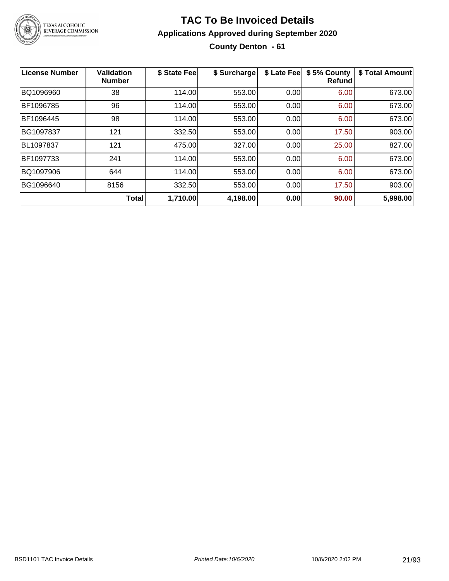

### **TAC To Be Invoiced Details Applications Approved during September 2020 County Denton - 61**

| <b>License Number</b> | <b>Validation</b><br><b>Number</b> | \$ State Fee | \$ Surcharge | \$ Late Fee | \$5% County<br><b>Refund</b> | \$ Total Amount |
|-----------------------|------------------------------------|--------------|--------------|-------------|------------------------------|-----------------|
| BQ1096960             | 38                                 | 114.00       | 553.00       | 0.00        | 6.00                         | 673.00          |
| BF1096785             | 96                                 | 114.00       | 553.00       | 0.00        | 6.00                         | 673.00          |
| BF1096445             | 98                                 | 114.00       | 553.00       | 0.00        | 6.00                         | 673.00          |
| BG1097837             | 121                                | 332.50       | 553.00       | 0.00        | 17.50                        | 903.00          |
| BL1097837             | 121                                | 475.00       | 327.00       | 0.00        | 25.00                        | 827.00          |
| BF1097733             | 241                                | 114.00       | 553.00       | 0.00        | 6.00                         | 673.00          |
| BQ1097906             | 644                                | 114.00       | 553.00       | 0.00        | 6.00                         | 673.00          |
| BG1096640             | 8156                               | 332.50       | 553.00       | 0.00        | 17.50                        | 903.00          |
|                       | <b>Total</b>                       | 1,710.00     | 4,198.00     | 0.00        | 90.00                        | 5,998.00        |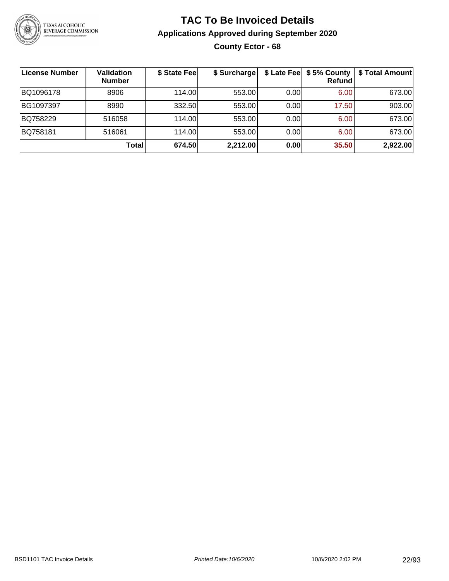

### **TAC To Be Invoiced Details Applications Approved during September 2020 County Ector - 68**

| License Number | <b>Validation</b><br><b>Number</b> | \$ State Fee | \$ Surcharge |      | \$ Late Fee   \$5% County  <br>Refund | \$ Total Amount |
|----------------|------------------------------------|--------------|--------------|------|---------------------------------------|-----------------|
| BQ1096178      | 8906                               | 114.00       | 553.00       | 0.00 | 6.00                                  | 673.00          |
| BG1097397      | 8990                               | 332.50       | 553.00       | 0.00 | 17.50                                 | 903.00          |
| BQ758229       | 516058                             | 114.00       | 553.00       | 0.00 | 6.00                                  | 673.00          |
| BQ758181       | 516061                             | 114.00       | 553.00       | 0.00 | 6.00                                  | 673.00          |
|                | <b>Total</b>                       | 674.50       | 2,212.00     | 0.00 | 35.50                                 | 2,922.00        |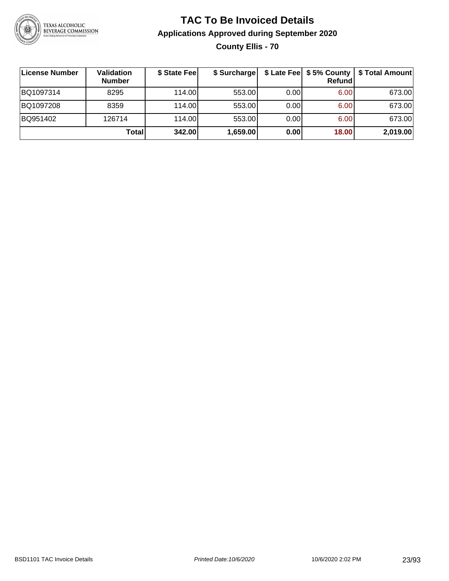

### **TAC To Be Invoiced Details Applications Approved during September 2020 County Ellis - 70**

| License Number | Validation<br><b>Number</b> | \$ State Fee | \$ Surcharge |      | Refund | \$ Late Fee   \$5% County   \$ Total Amount |
|----------------|-----------------------------|--------------|--------------|------|--------|---------------------------------------------|
| BQ1097314      | 8295                        | 114.00L      | 553.00       | 0.00 | 6.00   | 673.00                                      |
| BQ1097208      | 8359                        | 114.00L      | 553.00       | 0.00 | 6.00   | 673.00                                      |
| BQ951402       | 126714                      | 114.00       | 553.00       | 0.00 | 6.00   | 673.00                                      |
|                | Total                       | 342.00       | 1,659.00     | 0.00 | 18.00  | 2,019.00                                    |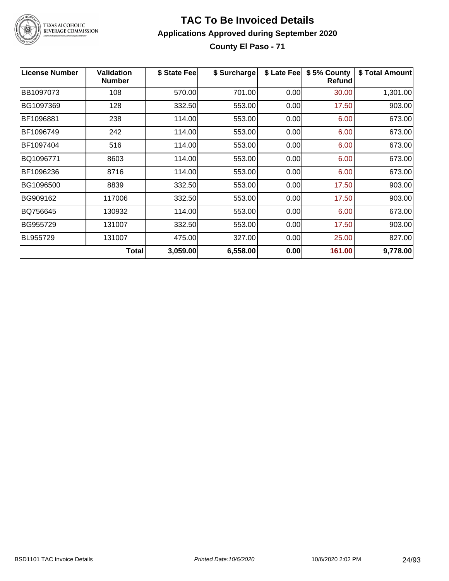

TEXAS ALCOHOLIC<br>BEVERAGE COMMISSION

#### **TAC To Be Invoiced Details Applications Approved during September 2020 County El Paso - 71**

| <b>License Number</b> | <b>Validation</b><br><b>Number</b> | \$ State Fee | \$ Surcharge | \$ Late Fee | \$5% County<br>Refundl | \$ Total Amount |
|-----------------------|------------------------------------|--------------|--------------|-------------|------------------------|-----------------|
| BB1097073             | 108                                | 570.00       | 701.00       | 0.00        | 30.00                  | 1,301.00        |
| BG1097369             | 128                                | 332.50       | 553.00       | 0.00        | 17.50                  | 903.00          |
| BF1096881             | 238                                | 114.00       | 553.00       | 0.00        | 6.00                   | 673.00          |
| BF1096749             | 242                                | 114.00       | 553.00       | 0.00        | 6.00                   | 673.00          |
| BF1097404             | 516                                | 114.00       | 553.00       | 0.00        | 6.00                   | 673.00          |
| BQ1096771             | 8603                               | 114.00       | 553.00       | 0.00        | 6.00                   | 673.00          |
| BF1096236             | 8716                               | 114.00       | 553.00       | 0.00        | 6.00                   | 673.00          |
| BG1096500             | 8839                               | 332.50       | 553.00       | 0.00        | 17.50                  | 903.00          |
| BG909162              | 117006                             | 332.50       | 553.00       | 0.00        | 17.50                  | 903.00          |
| BQ756645              | 130932                             | 114.00       | 553.00       | 0.00        | 6.00                   | 673.00          |
| BG955729              | 131007                             | 332.50       | 553.00       | 0.00        | 17.50                  | 903.00          |
| BL955729              | 131007                             | 475.00       | 327.00       | 0.00        | 25.00                  | 827.00          |
|                       | <b>Total</b>                       | 3,059.00     | 6,558.00     | 0.00        | 161.00                 | 9,778.00        |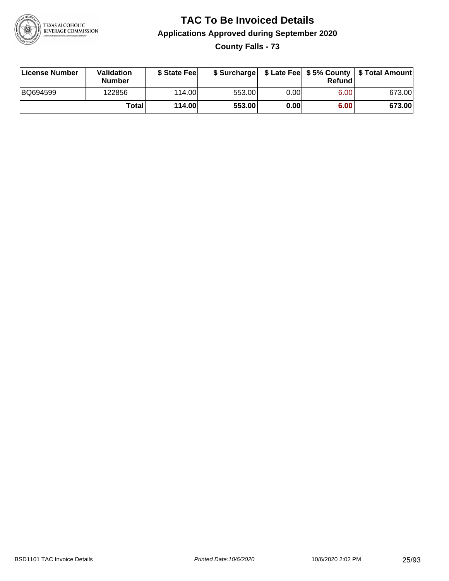

**County Falls - 73**

| License Number | <b>Validation</b><br><b>Number</b> | \$ State Fee |        |                   | Refundl | \$ Surcharge   \$ Late Fee   \$5% County   \$ Total Amount |
|----------------|------------------------------------|--------------|--------|-------------------|---------|------------------------------------------------------------|
| BQ694599       | 122856                             | 114.00L      | 553.00 | 0.00              | 6.00    | 673.00                                                     |
|                | Totall                             | 114.00       | 553.00 | 0.00 <sub>1</sub> | 6.00    | 673.00                                                     |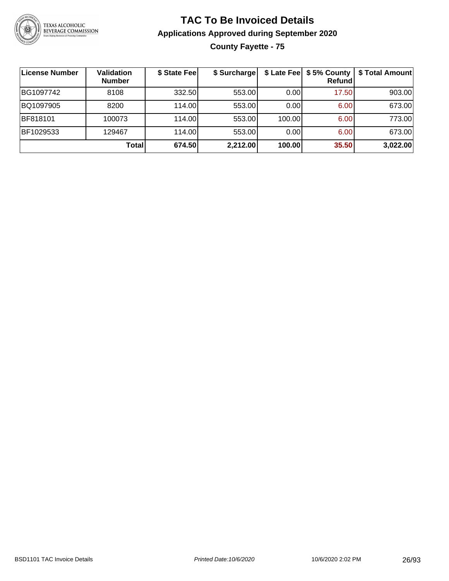

**County Fayette - 75**

| License Number | <b>Validation</b><br><b>Number</b> | \$ State Fee | \$ Surcharge |        | $$$ Late Fee $$5%$ County<br>Refundl | \$ Total Amount |
|----------------|------------------------------------|--------------|--------------|--------|--------------------------------------|-----------------|
| BG1097742      | 8108                               | 332.50       | 553.00       | 0.00   | 17.50                                | 903.00          |
| BQ1097905      | 8200                               | 114.00       | 553.00       | 0.00   | 6.00                                 | 673.00          |
| BF818101       | 100073                             | 114.00       | 553.00       | 100.00 | 6.00                                 | 773.00          |
| BF1029533      | 129467                             | 114.00       | 553.00       | 0.00   | 6.00                                 | 673.00          |
|                | Total                              | 674.50       | 2,212.00     | 100.00 | 35.50                                | 3,022.00        |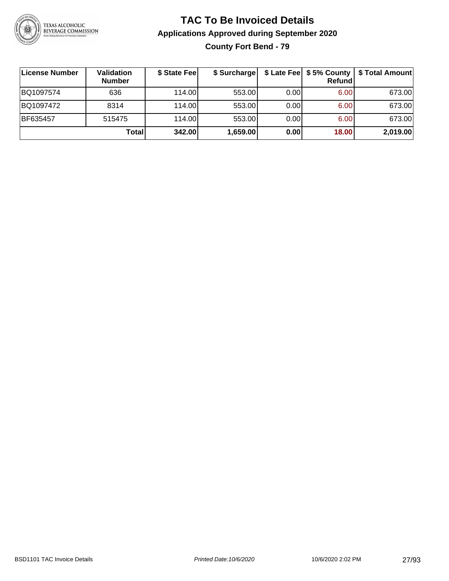

### **TAC To Be Invoiced Details Applications Approved during September 2020 County Fort Bend - 79**

| License Number | Validation<br><b>Number</b> | \$ State Fee | \$ Surcharge |      | Refund | \$ Late Fee   \$5% County   \$ Total Amount |
|----------------|-----------------------------|--------------|--------------|------|--------|---------------------------------------------|
| BQ1097574      | 636                         | 114.00L      | 553.00       | 0.00 | 6.00   | 673.00                                      |
| BQ1097472      | 8314                        | 114.00L      | 553.00       | 0.00 | 6.00   | 673.00                                      |
| BF635457       | 515475                      | 114.00       | 553.00       | 0.00 | 6.00   | 673.00                                      |
|                | Total                       | 342.00       | 1,659.00     | 0.00 | 18.00  | 2,019.00                                    |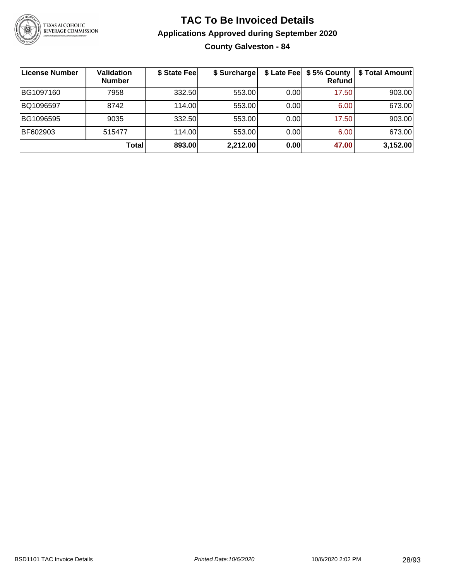

**County Galveston - 84**

| License Number | <b>Validation</b><br><b>Number</b> | \$ State Fee | \$ Surcharge |      | \$ Late Fee   \$5% County  <br><b>Refund</b> | \$ Total Amount |
|----------------|------------------------------------|--------------|--------------|------|----------------------------------------------|-----------------|
| BG1097160      | 7958                               | 332.50       | 553.00       | 0.00 | 17.50                                        | 903.00          |
| BQ1096597      | 8742                               | 114.00       | 553.00       | 0.00 | 6.00                                         | 673.00          |
| BG1096595      | 9035                               | 332.50       | 553.00       | 0.00 | 17.50                                        | 903.00          |
| BF602903       | 515477                             | 114.00       | 553.00       | 0.00 | 6.00                                         | 673.00          |
|                | Total                              | 893.00       | 2,212.00     | 0.00 | 47.00                                        | 3,152.00        |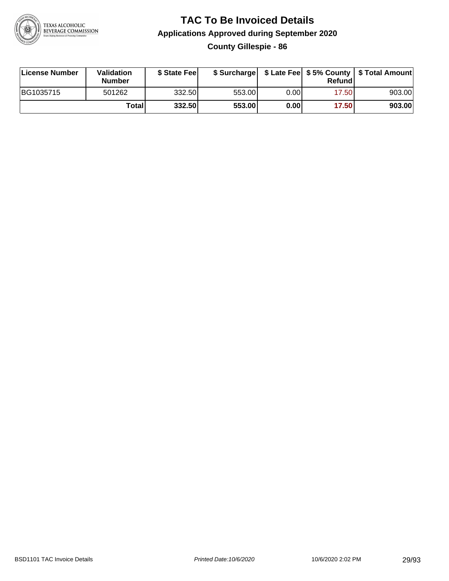

### **TAC To Be Invoiced Details Applications Approved during September 2020 County Gillespie - 86**

| License Number | Validation<br><b>Number</b> | \$ State Feel |        |      | Refund | \$ Surcharge   \$ Late Fee   \$5% County   \$ Total Amount |
|----------------|-----------------------------|---------------|--------|------|--------|------------------------------------------------------------|
| BG1035715      | 501262                      | 332.50        | 553.00 | 0.00 | 17.50  | 903.00                                                     |
|                | Total                       | 332.50        | 553.00 | 0.00 | 17.50  | 903.00                                                     |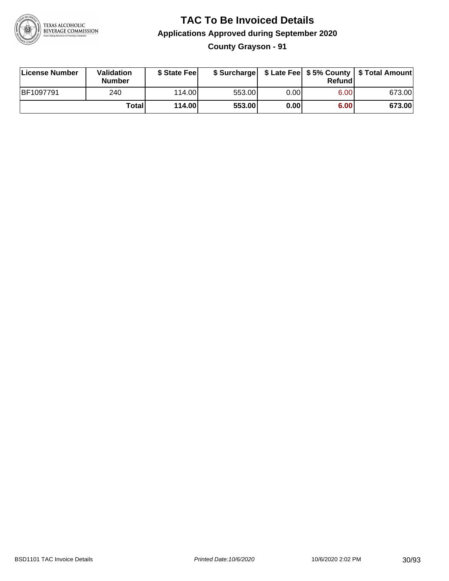

### **TAC To Be Invoiced Details Applications Approved during September 2020 County Grayson - 91**

| License Number   | Validation<br><b>Number</b> | \$ State Fee |        |      | Refundl | \$ Surcharge   \$ Late Fee   \$5% County   \$ Total Amount |
|------------------|-----------------------------|--------------|--------|------|---------|------------------------------------------------------------|
| <b>BF1097791</b> | 240                         | 114.00L      | 553.00 | 0.00 | 6.00    | 673.00                                                     |
|                  | Totall                      | 114.00       | 553.00 | 0.00 | 6.00    | 673.00                                                     |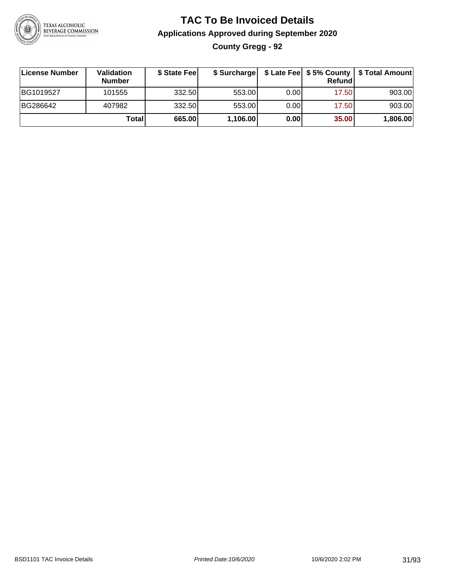

### **TAC To Be Invoiced Details Applications Approved during September 2020 County Gregg - 92**

| License Number | <b>Validation</b><br><b>Number</b> | \$ State Fee | \$ Surcharge |       | Refund | \$ Late Fee   \$5% County   \$ Total Amount |
|----------------|------------------------------------|--------------|--------------|-------|--------|---------------------------------------------|
| BG1019527      | 101555                             | 332.50       | 553.00       | 0.001 | 17.50  | 903.00                                      |
| BG286642       | 407982                             | 332.50       | 553.00       | 0.00  | 17.50  | 903.00                                      |
|                | Total                              | 665.00       | 1,106.00     | 0.00  | 35.00  | 1,806.00                                    |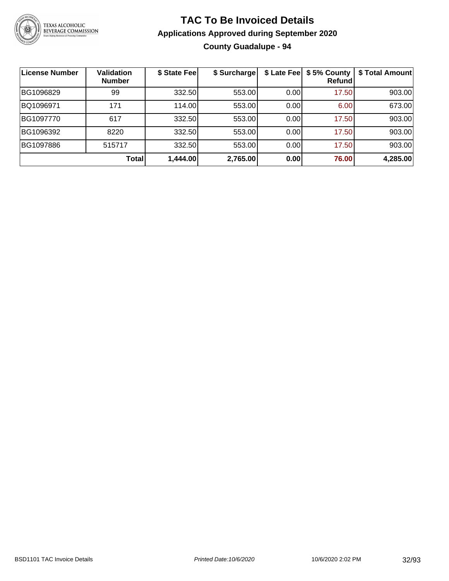

### **TAC To Be Invoiced Details Applications Approved during September 2020 County Guadalupe - 94**

| <b>License Number</b> | <b>Validation</b><br><b>Number</b> | \$ State Fee | \$ Surcharge |      | \$ Late Fee   \$5% County<br><b>Refund</b> | \$ Total Amount |
|-----------------------|------------------------------------|--------------|--------------|------|--------------------------------------------|-----------------|
| BG1096829             | 99                                 | 332.50       | 553.00       | 0.00 | 17.50                                      | 903.00          |
| BQ1096971             | 171                                | 114.00       | 553.00       | 0.00 | 6.00                                       | 673.00          |
| BG1097770             | 617                                | 332.50       | 553.00       | 0.00 | 17.50                                      | 903.00          |
| BG1096392             | 8220                               | 332.50       | 553.00       | 0.00 | 17.50                                      | 903.00          |
| BG1097886             | 515717                             | 332.50       | 553.00       | 0.00 | 17.50                                      | 903.00          |
|                       | <b>Total</b>                       | 1,444.00     | 2,765.00     | 0.00 | 76.00                                      | 4,285.00        |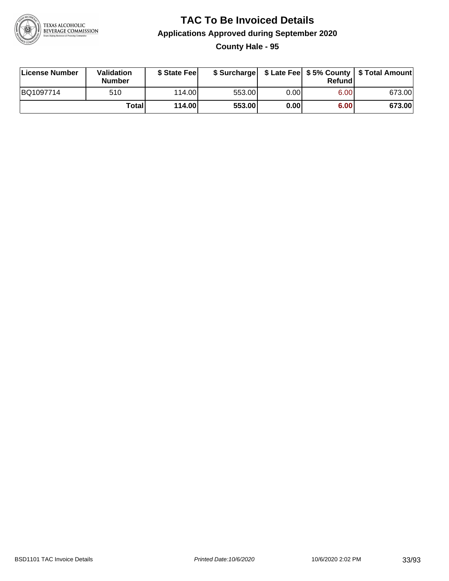

**County Hale - 95**

| License Number | Validation<br><b>Number</b> | \$ State Feel |        |      | Refund | \$ Surcharge   \$ Late Fee   \$5% County   \$ Total Amount |
|----------------|-----------------------------|---------------|--------|------|--------|------------------------------------------------------------|
| BQ1097714      | 510                         | 114.00        | 553.00 | 0.00 | 6.00   | 673.00                                                     |
|                | Totall                      | 114.00        | 553.00 | 0.00 | 6.00   | 673.00                                                     |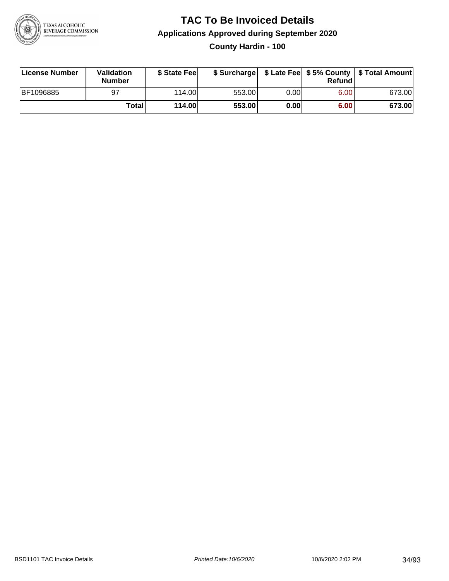

### **TAC To Be Invoiced Details Applications Approved during September 2020 County Hardin - 100**

| License Number | Validation<br><b>Number</b> | \$ State Fee |        |       | Refundl | \$ Surcharge   \$ Late Fee   \$5% County   \$ Total Amount |
|----------------|-----------------------------|--------------|--------|-------|---------|------------------------------------------------------------|
| BF1096885      | 97                          | 114.00       | 553.00 | 0.00I | 6.00    | 673.00                                                     |
|                | Totall                      | 114.00       | 553.00 | 0.00  | 6.00    | 673.00                                                     |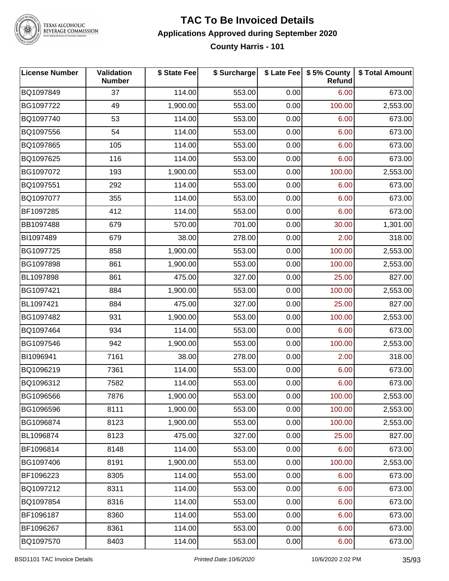

TEXAS ALCOHOLIC<br>BEVERAGE COMMISSION

#### **TAC To Be Invoiced Details Applications Approved during September 2020 County Harris - 101**

| <b>License Number</b> | Validation<br><b>Number</b> | \$ State Fee | \$ Surcharge |      | \$ Late Fee \$ 5% County<br>Refund | \$ Total Amount |
|-----------------------|-----------------------------|--------------|--------------|------|------------------------------------|-----------------|
| BQ1097849             | 37                          | 114.00       | 553.00       | 0.00 | 6.00                               | 673.00          |
| BG1097722             | 49                          | 1,900.00     | 553.00       | 0.00 | 100.00                             | 2,553.00        |
| BQ1097740             | 53                          | 114.00       | 553.00       | 0.00 | 6.00                               | 673.00          |
| BQ1097556             | 54                          | 114.00       | 553.00       | 0.00 | 6.00                               | 673.00          |
| BQ1097865             | 105                         | 114.00       | 553.00       | 0.00 | 6.00                               | 673.00          |
| BQ1097625             | 116                         | 114.00       | 553.00       | 0.00 | 6.00                               | 673.00          |
| BG1097072             | 193                         | 1,900.00     | 553.00       | 0.00 | 100.00                             | 2,553.00        |
| BQ1097551             | 292                         | 114.00       | 553.00       | 0.00 | 6.00                               | 673.00          |
| BQ1097077             | 355                         | 114.00       | 553.00       | 0.00 | 6.00                               | 673.00          |
| BF1097285             | 412                         | 114.00       | 553.00       | 0.00 | 6.00                               | 673.00          |
| BB1097488             | 679                         | 570.00       | 701.00       | 0.00 | 30.00                              | 1,301.00        |
| BI1097489             | 679                         | 38.00        | 278.00       | 0.00 | 2.00                               | 318.00          |
| BG1097725             | 858                         | 1,900.00     | 553.00       | 0.00 | 100.00                             | 2,553.00        |
| BG1097898             | 861                         | 1,900.00     | 553.00       | 0.00 | 100.00                             | 2,553.00        |
| BL1097898             | 861                         | 475.00       | 327.00       | 0.00 | 25.00                              | 827.00          |
| BG1097421             | 884                         | 1,900.00     | 553.00       | 0.00 | 100.00                             | 2,553.00        |
| BL1097421             | 884                         | 475.00       | 327.00       | 0.00 | 25.00                              | 827.00          |
| BG1097482             | 931                         | 1,900.00     | 553.00       | 0.00 | 100.00                             | 2,553.00        |
| BQ1097464             | 934                         | 114.00       | 553.00       | 0.00 | 6.00                               | 673.00          |
| BG1097546             | 942                         | 1,900.00     | 553.00       | 0.00 | 100.00                             | 2,553.00        |
| BI1096941             | 7161                        | 38.00        | 278.00       | 0.00 | 2.00                               | 318.00          |
| BQ1096219             | 7361                        | 114.00       | 553.00       | 0.00 | 6.00                               | 673.00          |
| BQ1096312             | 7582                        | 114.00       | 553.00       | 0.00 | 6.00                               | 673.00          |
| BG1096566             | 7876                        | 1,900.00     | 553.00       | 0.00 | 100.00                             | 2,553.00        |
| BG1096596             | 8111                        | 1,900.00     | 553.00       | 0.00 | 100.00                             | 2,553.00        |
| BG1096874             | 8123                        | 1,900.00     | 553.00       | 0.00 | 100.00                             | 2,553.00        |
| BL1096874             | 8123                        | 475.00       | 327.00       | 0.00 | 25.00                              | 827.00          |
| BF1096814             | 8148                        | 114.00       | 553.00       | 0.00 | 6.00                               | 673.00          |
| BG1097406             | 8191                        | 1,900.00     | 553.00       | 0.00 | 100.00                             | 2,553.00        |
| BF1096223             | 8305                        | 114.00       | 553.00       | 0.00 | 6.00                               | 673.00          |
| BQ1097212             | 8311                        | 114.00       | 553.00       | 0.00 | 6.00                               | 673.00          |
| BQ1097854             | 8316                        | 114.00       | 553.00       | 0.00 | 6.00                               | 673.00          |
| BF1096187             | 8360                        | 114.00       | 553.00       | 0.00 | 6.00                               | 673.00          |
| BF1096267             | 8361                        | 114.00       | 553.00       | 0.00 | 6.00                               | 673.00          |
| BQ1097570             | 8403                        | 114.00       | 553.00       | 0.00 | 6.00                               | 673.00          |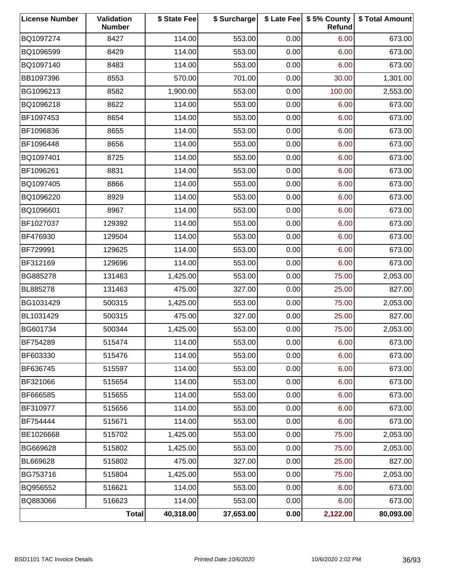| <b>License Number</b> | Validation<br><b>Number</b> | \$ State Fee | \$ Surcharge |      | \$ Late Fee   \$5% County<br>Refund | \$ Total Amount |
|-----------------------|-----------------------------|--------------|--------------|------|-------------------------------------|-----------------|
| BQ1097274             | 8427                        | 114.00       | 553.00       | 0.00 | 6.00                                | 673.00          |
| BQ1096599             | 8429                        | 114.00       | 553.00       | 0.00 | 6.00                                | 673.00          |
| BQ1097140             | 8483                        | 114.00       | 553.00       | 0.00 | 6.00                                | 673.00          |
| BB1097396             | 8553                        | 570.00       | 701.00       | 0.00 | 30.00                               | 1,301.00        |
| BG1096213             | 8582                        | 1,900.00     | 553.00       | 0.00 | 100.00                              | 2,553.00        |
| BQ1096218             | 8622                        | 114.00       | 553.00       | 0.00 | 6.00                                | 673.00          |
| BF1097453             | 8654                        | 114.00       | 553.00       | 0.00 | 6.00                                | 673.00          |
| BF1096836             | 8655                        | 114.00       | 553.00       | 0.00 | 6.00                                | 673.00          |
| BF1096448             | 8656                        | 114.00       | 553.00       | 0.00 | 6.00                                | 673.00          |
| BQ1097401             | 8725                        | 114.00       | 553.00       | 0.00 | 6.00                                | 673.00          |
| BF1096261             | 8831                        | 114.00       | 553.00       | 0.00 | 6.00                                | 673.00          |
| BQ1097405             | 8866                        | 114.00       | 553.00       | 0.00 | 6.00                                | 673.00          |
| BQ1096220             | 8929                        | 114.00       | 553.00       | 0.00 | 6.00                                | 673.00          |
| BQ1096601             | 8967                        | 114.00       | 553.00       | 0.00 | 6.00                                | 673.00          |
| BF1027037             | 129392                      | 114.00       | 553.00       | 0.00 | 6.00                                | 673.00          |
| BF476930              | 129504                      | 114.00       | 553.00       | 0.00 | 6.00                                | 673.00          |
| BF729991              | 129625                      | 114.00       | 553.00       | 0.00 | 6.00                                | 673.00          |
| BF312169              | 129696                      | 114.00       | 553.00       | 0.00 | 6.00                                | 673.00          |
| BG885278              | 131463                      | 1,425.00     | 553.00       | 0.00 | 75.00                               | 2,053.00        |
| BL885278              | 131463                      | 475.00       | 327.00       | 0.00 | 25.00                               | 827.00          |
| BG1031429             | 500315                      | 1,425.00     | 553.00       | 0.00 | 75.00                               | 2,053.00        |
| BL1031429             | 500315                      | 475.00       | 327.00       | 0.00 | 25.00                               | 827.00          |
| BG601734              | 500344                      | 1,425.00     | 553.00       | 0.00 | 75.00                               | 2,053.00        |
| BF754289              | 515474                      | 114.00       | 553.00       | 0.00 | 6.00                                | 673.00          |
| BF603330              | 515476                      | 114.00       | 553.00       | 0.00 | 6.00                                | 673.00          |
| BF636745              | 515597                      | 114.00       | 553.00       | 0.00 | 6.00                                | 673.00          |
| BF321066              | 515654                      | 114.00       | 553.00       | 0.00 | 6.00                                | 673.00          |
| BF666585              | 515655                      | 114.00       | 553.00       | 0.00 | 6.00                                | 673.00          |
| BF310977              | 515656                      | 114.00       | 553.00       | 0.00 | 6.00                                | 673.00          |
| BF754444              | 515671                      | 114.00       | 553.00       | 0.00 | 6.00                                | 673.00          |
| BE1026668             | 515702                      | 1,425.00     | 553.00       | 0.00 | 75.00                               | 2,053.00        |
| BG669628              | 515802                      | 1,425.00     | 553.00       | 0.00 | 75.00                               | 2,053.00        |
| BL669628              | 515802                      | 475.00       | 327.00       | 0.00 | 25.00                               | 827.00          |
| BG753716              | 515804                      | 1,425.00     | 553.00       | 0.00 | 75.00                               | 2,053.00        |
| BQ956552              | 516621                      | 114.00       | 553.00       | 0.00 | 6.00                                | 673.00          |
| BQ883066              | 516623                      | 114.00       | 553.00       | 0.00 | 6.00                                | 673.00          |
|                       | <b>Total</b>                | 40,318.00    | 37,653.00    | 0.00 | 2,122.00                            | 80,093.00       |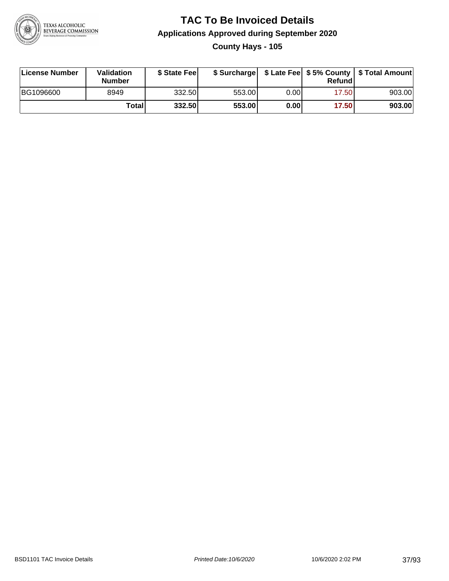

# **TAC To Be Invoiced Details Applications Approved during September 2020 County Hays - 105**

| License Number   | Validation<br><b>Number</b> | \$ State Feel | \$ Surcharge |      | Refundl | \$ Late Fee   \$5% County   \$ Total Amount |
|------------------|-----------------------------|---------------|--------------|------|---------|---------------------------------------------|
| <b>BG1096600</b> | 8949                        | 332.50        | 553.00       | 0.00 | 17.50   | 903.00                                      |
|                  | Totall                      | 332.50        | 553.00       | 0.00 | 17.50   | 903.00                                      |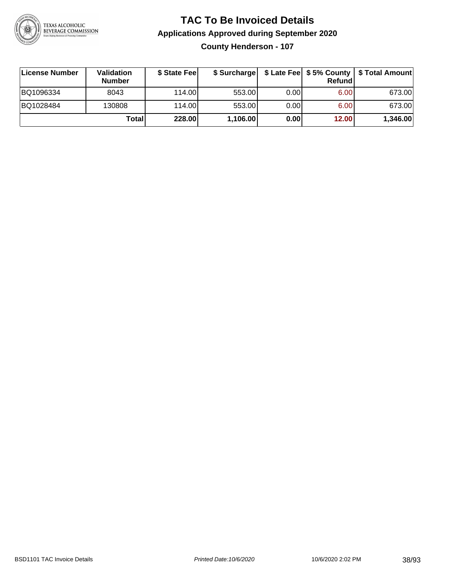

**County Henderson - 107**

| ∣License Number | <b>Validation</b><br><b>Number</b> | \$ State Feel | \$ Surcharge |       | Refundl | \$ Late Fee   \$5% County   \$ Total Amount |
|-----------------|------------------------------------|---------------|--------------|-------|---------|---------------------------------------------|
| BQ1096334       | 8043                               | 114.00        | 553.00       | 0.001 | 6.00    | 673.00                                      |
| BQ1028484       | 130808                             | 114.00        | 553.00       | 0.001 | 6.00    | 673.00                                      |
|                 | Totall                             | 228.00        | 1,106.00     | 0.00  | 12.00   | 1,346.00                                    |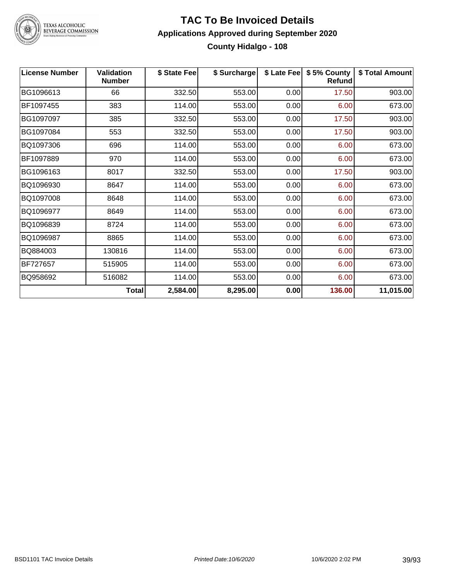

TEXAS ALCOHOLIC<br>BEVERAGE COMMISSION

## **TAC To Be Invoiced Details Applications Approved during September 2020 County Hidalgo - 108**

| <b>License Number</b> | <b>Validation</b><br><b>Number</b> | \$ State Fee | \$ Surcharge | \$ Late Fee | \$5% County<br>Refund | \$ Total Amount |
|-----------------------|------------------------------------|--------------|--------------|-------------|-----------------------|-----------------|
| BG1096613             | 66                                 | 332.50       | 553.00       | 0.00        | 17.50                 | 903.00          |
| BF1097455             | 383                                | 114.00       | 553.00       | 0.00        | 6.00                  | 673.00          |
| BG1097097             | 385                                | 332.50       | 553.00       | 0.00        | 17.50                 | 903.00          |
| BG1097084             | 553                                | 332.50       | 553.00       | 0.00        | 17.50                 | 903.00          |
| BQ1097306             | 696                                | 114.00       | 553.00       | 0.00        | 6.00                  | 673.00          |
| BF1097889             | 970                                | 114.00       | 553.00       | 0.00        | 6.00                  | 673.00          |
| BG1096163             | 8017                               | 332.50       | 553.00       | 0.00        | 17.50                 | 903.00          |
| BQ1096930             | 8647                               | 114.00       | 553.00       | 0.00        | 6.00                  | 673.00          |
| BQ1097008             | 8648                               | 114.00       | 553.00       | 0.00        | 6.00                  | 673.00          |
| BQ1096977             | 8649                               | 114.00       | 553.00       | 0.00        | 6.00                  | 673.00          |
| BQ1096839             | 8724                               | 114.00       | 553.00       | 0.00        | 6.00                  | 673.00          |
| BQ1096987             | 8865                               | 114.00       | 553.00       | 0.00        | 6.00                  | 673.00          |
| BQ884003              | 130816                             | 114.00       | 553.00       | 0.00        | 6.00                  | 673.00          |
| BF727657              | 515905                             | 114.00       | 553.00       | 0.00        | 6.00                  | 673.00          |
| BQ958692              | 516082                             | 114.00       | 553.00       | 0.00        | 6.00                  | 673.00          |
|                       | <b>Total</b>                       | 2,584.00     | 8,295.00     | 0.00        | 136.00                | 11,015.00       |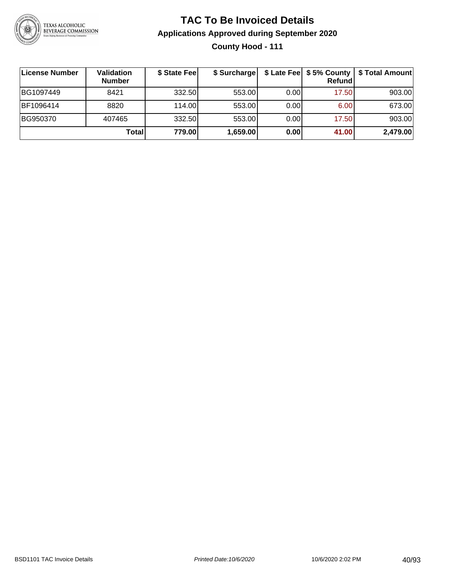

## **TAC To Be Invoiced Details Applications Approved during September 2020 County Hood - 111**

| License Number | Validation<br><b>Number</b> | \$ State Fee | \$ Surcharge |      | $$$ Late Fee $$5%$ County<br>Refundl | \$ Total Amount |
|----------------|-----------------------------|--------------|--------------|------|--------------------------------------|-----------------|
| BG1097449      | 8421                        | 332.50       | 553.00       | 0.00 | 17.50                                | 903.00          |
| BF1096414      | 8820                        | 114.00       | 553.00       | 0.00 | 6.00                                 | 673.00          |
| BG950370       | 407465                      | 332.50       | 553.00       | 0.00 | 17.50                                | 903.00          |
|                | <b>Total</b>                | 779.00       | 1,659.00     | 0.00 | 41.00                                | 2,479.00        |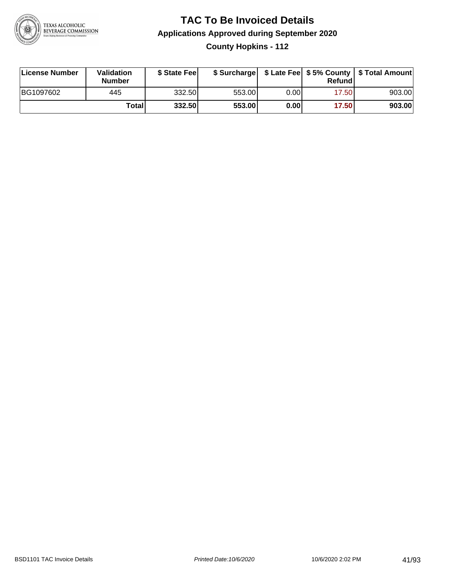

## **TAC To Be Invoiced Details Applications Approved during September 2020 County Hopkins - 112**

| License Number | Validation<br><b>Number</b> | \$ State Feel |        |      | Refund | \$ Surcharge   \$ Late Fee   \$5% County   \$ Total Amount |
|----------------|-----------------------------|---------------|--------|------|--------|------------------------------------------------------------|
| BG1097602      | 445                         | 332.50        | 553.00 | 0.00 | 17.50  | 903.00                                                     |
|                | Total                       | 332.50        | 553.00 | 0.00 | 17.50  | 903.00                                                     |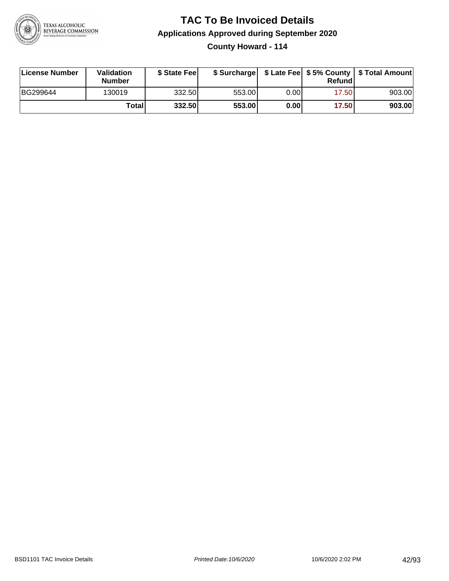

**County Howard - 114**

| License Number | <b>Validation</b><br><b>Number</b> | \$ State Feel |        |       | Refundl | \$ Surcharge   \$ Late Fee   \$5% County   \$ Total Amount |
|----------------|------------------------------------|---------------|--------|-------|---------|------------------------------------------------------------|
| BG299644       | 130019                             | 332.50        | 553.00 | 0.001 | 17.50   | 903.00                                                     |
|                | Totall                             | 332.50        | 553.00 | 0.00  | 17.50   | 903.00                                                     |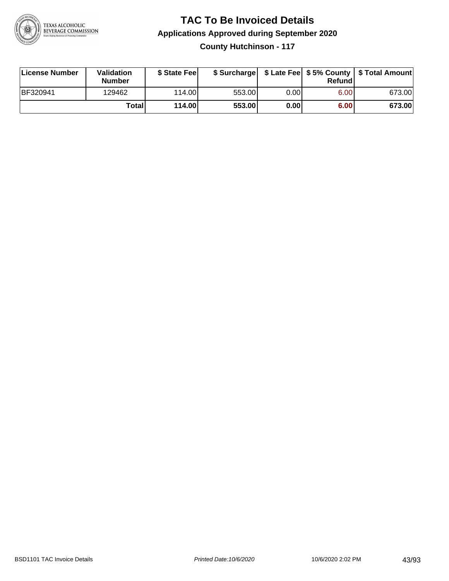

**County Hutchinson - 117**

| License Number | <b>Validation</b><br>Number | \$ State Feel | \$ Surcharge |       | Refundl | \$ Late Fee   \$5% County   \$ Total Amount |
|----------------|-----------------------------|---------------|--------------|-------|---------|---------------------------------------------|
| BF320941       | 129462                      | 114.00        | 553.00       | 0.001 | 6.00    | 673.00                                      |
|                | Totall                      | 114.00        | 553.00       | 0.00  | 6.00    | 673.00                                      |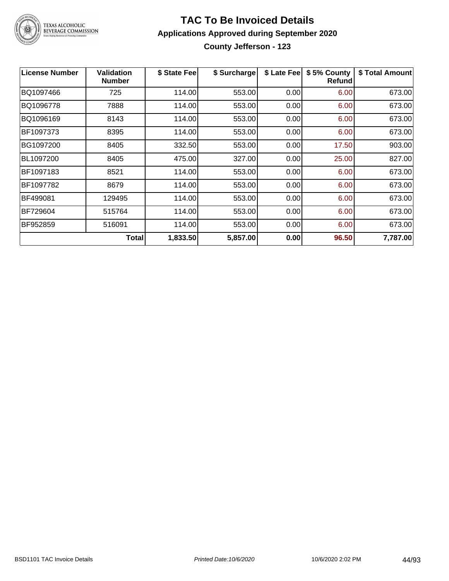

# TEXAS ALCOHOLIC<br>BEVERAGE COMMISSION

#### **TAC To Be Invoiced Details Applications Approved during September 2020 County Jefferson - 123**

| <b>License Number</b> | <b>Validation</b><br><b>Number</b> | \$ State Fee | \$ Surcharge | \$ Late Fee | \$5% County<br><b>Refund</b> | \$ Total Amount |
|-----------------------|------------------------------------|--------------|--------------|-------------|------------------------------|-----------------|
| BQ1097466             | 725                                | 114.00       | 553.00       | 0.00        | 6.00                         | 673.00          |
| BQ1096778             | 7888                               | 114.00       | 553.00       | 0.00        | 6.00                         | 673.00          |
| BQ1096169             | 8143                               | 114.00       | 553.00       | 0.00        | 6.00                         | 673.00          |
| BF1097373             | 8395                               | 114.00       | 553.00       | 0.00        | 6.00                         | 673.00          |
| BG1097200             | 8405                               | 332.50       | 553.00       | 0.00        | 17.50                        | 903.00          |
| BL1097200             | 8405                               | 475.00       | 327.00       | 0.00        | 25.00                        | 827.00          |
| BF1097183             | 8521                               | 114.00       | 553.00       | 0.00        | 6.00                         | 673.00          |
| BF1097782             | 8679                               | 114.00       | 553.00       | 0.00        | 6.00                         | 673.00          |
| BF499081              | 129495                             | 114.00       | 553.00       | 0.00        | 6.00                         | 673.00          |
| BF729604              | 515764                             | 114.00       | 553.00       | 0.00        | 6.00                         | 673.00          |
| BF952859              | 516091                             | 114.00       | 553.00       | 0.00        | 6.00                         | 673.00          |
|                       | Total                              | 1,833.50     | 5,857.00     | 0.00        | 96.50                        | 7,787.00        |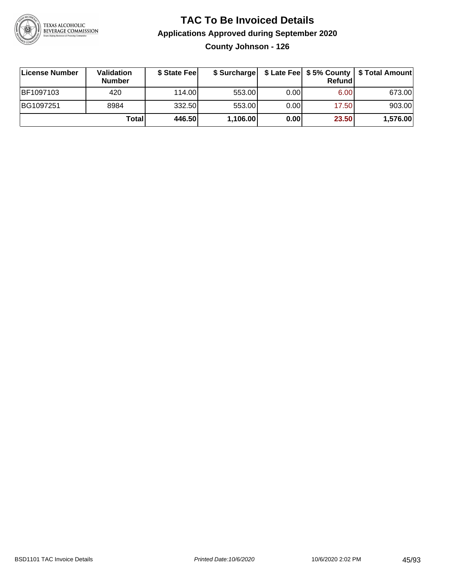

**County Johnson - 126**

| ∣License Number | <b>Validation</b><br><b>Number</b> | \$ State Fee | \$ Surcharge |       | <b>Refund</b> | \$ Late Fee   \$5% County   \$ Total Amount |
|-----------------|------------------------------------|--------------|--------------|-------|---------------|---------------------------------------------|
| BF1097103       | 420                                | 114.00       | 553.00       | 0.001 | 6.00          | 673.00                                      |
| BG1097251       | 8984                               | 332.50       | 553.00       | 0.001 | 17.50         | 903.00                                      |
|                 | Totall                             | 446.50       | 1,106.00     | 0.00  | 23.50         | 1,576.00                                    |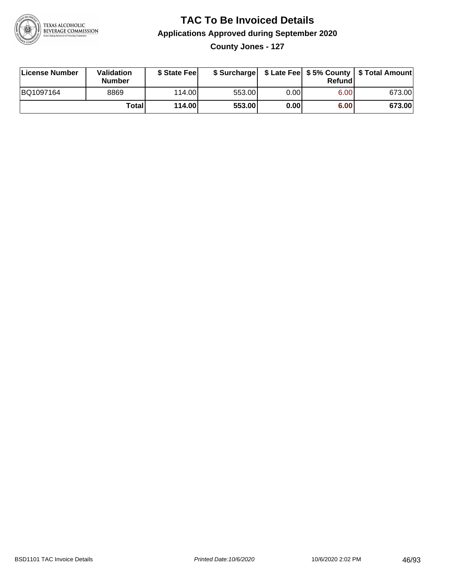

**County Jones - 127**

| License Number | <b>Validation</b><br><b>Number</b> | \$ State Fee | \$ Surcharge |       | Refundl | \$ Late Fee   \$5% County   \$ Total Amount |
|----------------|------------------------------------|--------------|--------------|-------|---------|---------------------------------------------|
| BQ1097164      | 8869                               | 114.00L      | 553.00       | 0.001 | 6.00    | 673.00                                      |
|                | Totall                             | 114.00       | 553.00       | 0.00  | 6.00    | 673.00                                      |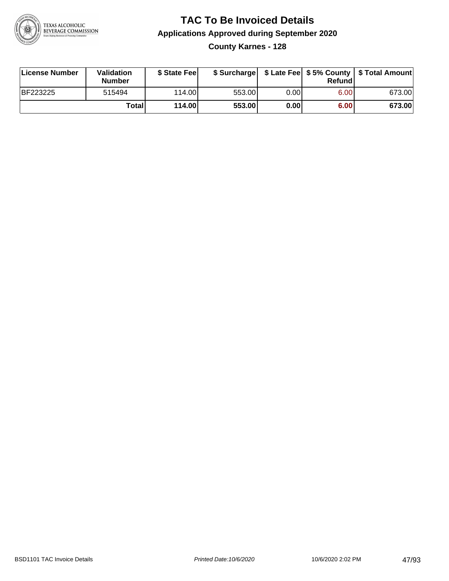

## **TAC To Be Invoiced Details Applications Approved during September 2020 County Karnes - 128**

| <b>License Number</b> | Validation<br><b>Number</b> | \$ State Fee |        |      | Refund | \$ Surcharge   \$ Late Fee   \$5% County   \$ Total Amount |
|-----------------------|-----------------------------|--------------|--------|------|--------|------------------------------------------------------------|
| <b>BF223225</b>       | 515494                      | 114.00L      | 553.00 | 0.00 | 6.00   | 673.00                                                     |
|                       | <b>Total</b>                | 114.00       | 553.00 | 0.00 | 6.00   | 673.00                                                     |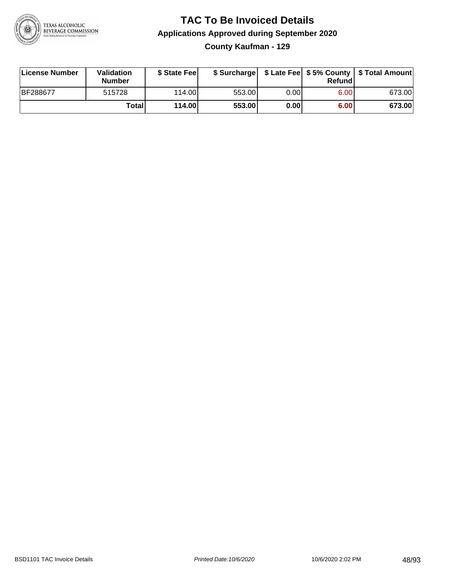

**County Kaufman - 129**

| License Number | <b>Validation</b><br><b>Number</b> | \$ State Fee | \$ Surcharge |        | Refundl |        |
|----------------|------------------------------------|--------------|--------------|--------|---------|--------|
| BF288677       | 515728                             | 114.00L      | 553.00       | 0.00 l | 6.00    | 673.00 |
|                | Totall                             | 114.00       | 553.00       | 0.00   | 6.00    | 673.00 |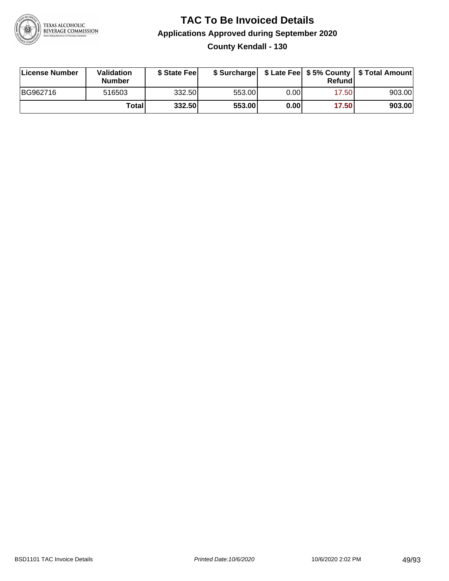

## **TAC To Be Invoiced Details Applications Approved during September 2020 County Kendall - 130**

| License Number | Validation<br><b>Number</b> | \$ State Fee | \$ Surcharge |      | Refund | \$ Late Fee   \$5% County   \$ Total Amount |
|----------------|-----------------------------|--------------|--------------|------|--------|---------------------------------------------|
| BG962716       | 516503                      | 332.50       | 553.00       | 0.00 | 17.50  | 903.00                                      |
|                | Totall                      | 332.50       | 553.00       | 0.00 | 17.50  | 903.00                                      |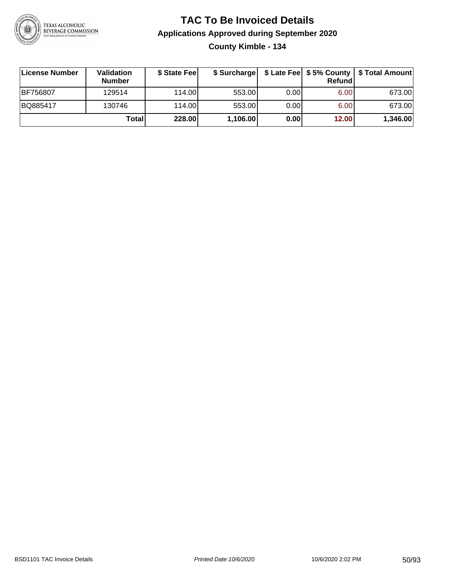

# **TAC To Be Invoiced Details Applications Approved during September 2020 County Kimble - 134**

| ∣License Number | Validation<br><b>Number</b> | \$ State Fee |          |       | <b>Refund</b> | \$ Surcharge   \$ Late Fee   \$5% County   \$ Total Amount |
|-----------------|-----------------------------|--------------|----------|-------|---------------|------------------------------------------------------------|
| <b>BF756807</b> | 129514                      | 114.00       | 553.00   | 0.001 | 6.00          | 673.00                                                     |
| BQ885417        | 130746                      | 114.00       | 553.00   | 0.001 | 6.00          | 673.00                                                     |
|                 | Totall                      | 228.00       | 1,106.00 | 0.00  | 12.00         | 1,346.00                                                   |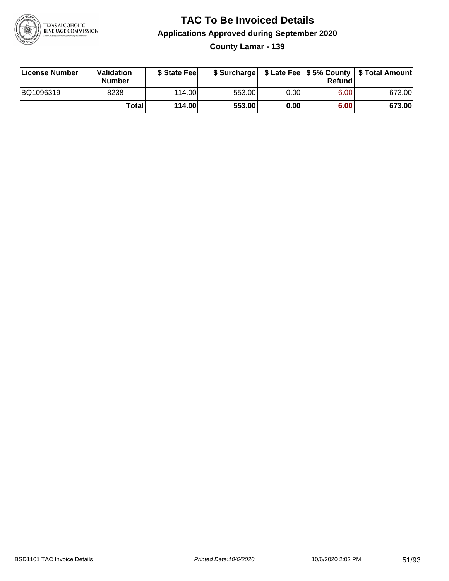

**County Lamar - 139**

| License Number | <b>Validation</b><br><b>Number</b> | \$ State Feel | \$ Surcharge |       | Refundl | \$ Late Fee   \$5% County   \$ Total Amount |
|----------------|------------------------------------|---------------|--------------|-------|---------|---------------------------------------------|
| BQ1096319      | 8238                               | 114.00        | 553.00       | 0.001 | 6.00    | 673.00                                      |
|                | Totall                             | 114.00        | 553.00       | 0.00  | 6.00    | 673.00                                      |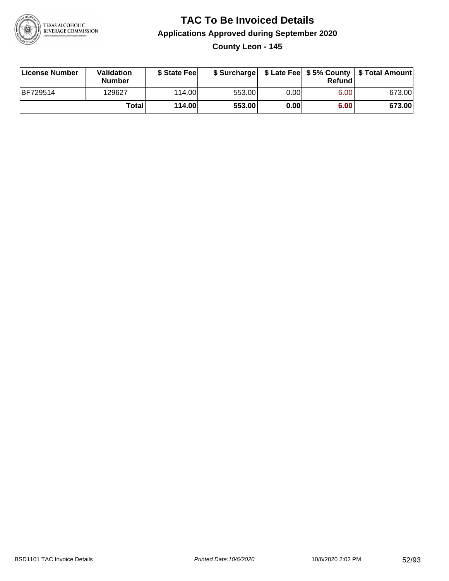

**County Leon - 145**

| License Number | Validation<br><b>Number</b> | \$ State Fee | \$ Surcharge |      | Refundl | \$ Late Fee   \$5% County   \$ Total Amount |
|----------------|-----------------------------|--------------|--------------|------|---------|---------------------------------------------|
| BF729514       | 129627                      | 114.00L      | 553.00       | 0.00 | 6.00    | 673.00                                      |
|                | Totall                      | 114.00       | 553.00       | 0.00 | 6.00    | 673.00                                      |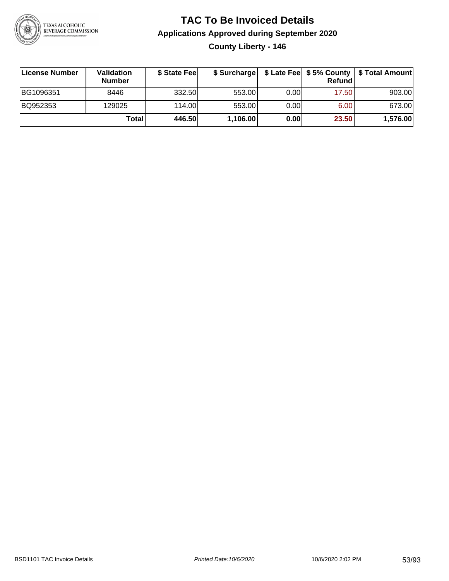

# **TAC To Be Invoiced Details Applications Approved during September 2020 County Liberty - 146**

| <b>∣License Number</b> | Validation<br><b>Number</b> | \$ State Fee | \$ Surcharge |      | Refund | \$ Late Fee   \$5% County   \$ Total Amount |
|------------------------|-----------------------------|--------------|--------------|------|--------|---------------------------------------------|
| BG1096351              | 8446                        | 332.50       | 553.00       | 0.00 | 17.50  | 903.00                                      |
| BQ952353               | 129025                      | 114.00       | 553.00       | 0.00 | 6.00   | 673.00                                      |
|                        | Totall                      | 446.50       | 1,106.00     | 0.00 | 23.50  | 1,576.00                                    |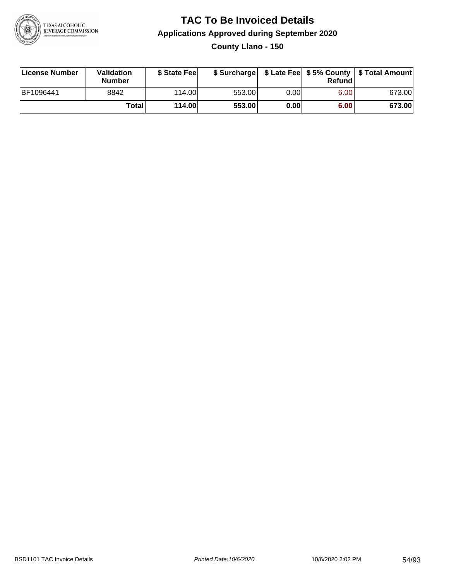

**County Llano - 150**

| License Number | Validation<br><b>Number</b> | \$ State Fee | \$ Surcharge |      | Refundl | \$ Late Fee   \$5% County   \$ Total Amount |
|----------------|-----------------------------|--------------|--------------|------|---------|---------------------------------------------|
| BF1096441      | 8842                        | 114.00L      | 553.00       | 0.00 | 6.00    | 673.00                                      |
|                | Totall                      | 114.00       | 553.00       | 0.00 | 6.00    | 673.00                                      |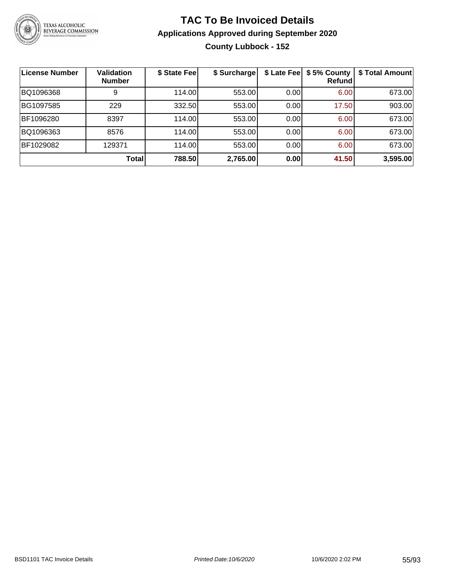

# **TAC To Be Invoiced Details Applications Approved during September 2020 County Lubbock - 152**

| License Number | <b>Validation</b><br><b>Number</b> | \$ State Fee | \$ Surcharge |      | \$ Late Fee   \$5% County<br>Refundl | \$ Total Amount |
|----------------|------------------------------------|--------------|--------------|------|--------------------------------------|-----------------|
| BQ1096368      | 9                                  | 114.00       | 553.00       | 0.00 | 6.00                                 | 673.00          |
| BG1097585      | 229                                | 332.50       | 553.00       | 0.00 | 17.50                                | 903.00          |
| BF1096280      | 8397                               | 114.00       | 553.00       | 0.00 | 6.00                                 | 673.00          |
| BQ1096363      | 8576                               | 114.00       | 553.00       | 0.00 | 6.00                                 | 673.00          |
| BF1029082      | 129371                             | 114.00       | 553.00       | 0.00 | 6.00                                 | 673.00          |
|                | Total                              | 788.50       | 2,765.00     | 0.00 | 41.50                                | 3,595.00        |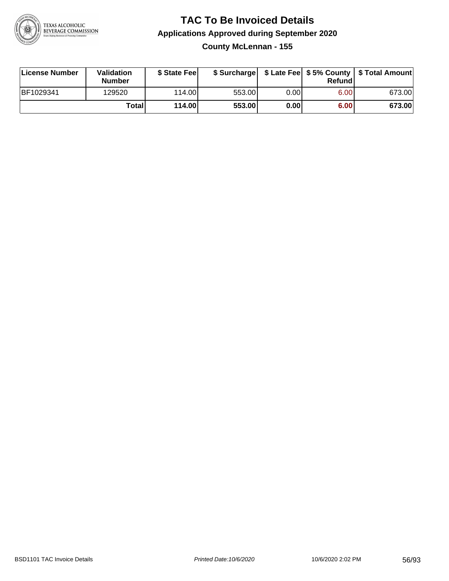

### **TAC To Be Invoiced Details Applications Approved during September 2020 County McLennan - 155**

| License Number | Validation<br><b>Number</b> | \$ State Feel |        |      | Refund | \$ Surcharge   \$ Late Fee   \$5% County   \$ Total Amount |
|----------------|-----------------------------|---------------|--------|------|--------|------------------------------------------------------------|
| BF1029341      | 129520                      | 114.00L       | 553.00 | 0.00 | 6.00   | 673.00                                                     |
|                | Totall                      | 114.00        | 553.00 | 0.00 | 6.00   | 673.00                                                     |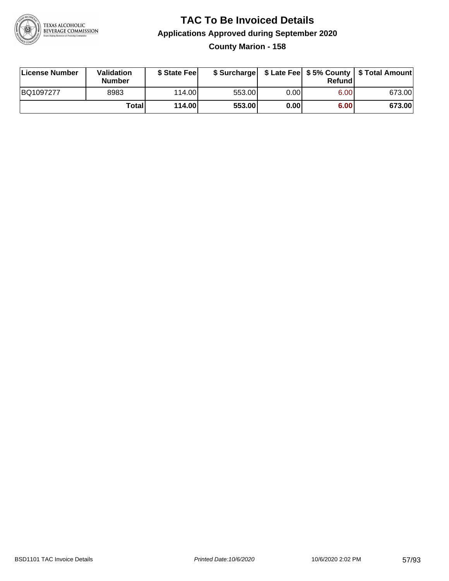

## **TAC To Be Invoiced Details Applications Approved during September 2020 County Marion - 158**

| License Number | Validation<br><b>Number</b> | \$ State Fee |        |      | Refundl | \$ Surcharge   \$ Late Fee   \$5% County   \$ Total Amount |
|----------------|-----------------------------|--------------|--------|------|---------|------------------------------------------------------------|
| BQ1097277      | 8983                        | 114.00L      | 553.00 | 0.00 | 6.00    | 673.00                                                     |
|                | Totall                      | 114.00       | 553.00 | 0.00 | 6.00    | 673.00                                                     |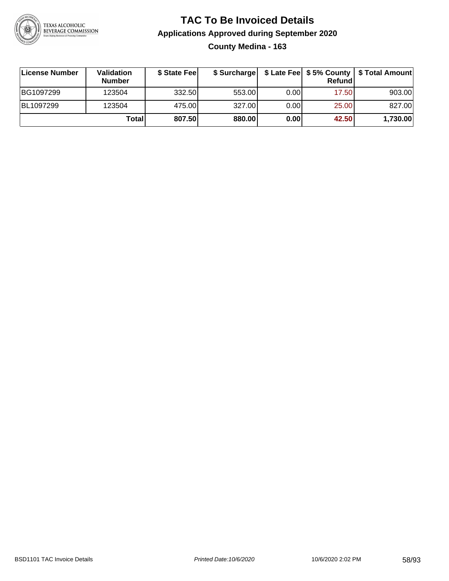

# **TAC To Be Invoiced Details Applications Approved during September 2020 County Medina - 163**

| ∣License Number | Validation<br><b>Number</b> | \$ State Fee | \$ Surcharge |      | Refund | \$ Late Fee   \$5% County   \$ Total Amount |
|-----------------|-----------------------------|--------------|--------------|------|--------|---------------------------------------------|
| BG1097299       | 123504                      | 332.50       | 553.00       | 0.00 | 17.50  | 903.00                                      |
| BL1097299       | 123504                      | 475.00       | 327.00       | 0.00 | 25.00  | 827.00                                      |
|                 | Total                       | 807.50       | 880.00       | 0.00 | 42.50  | 1,730.00                                    |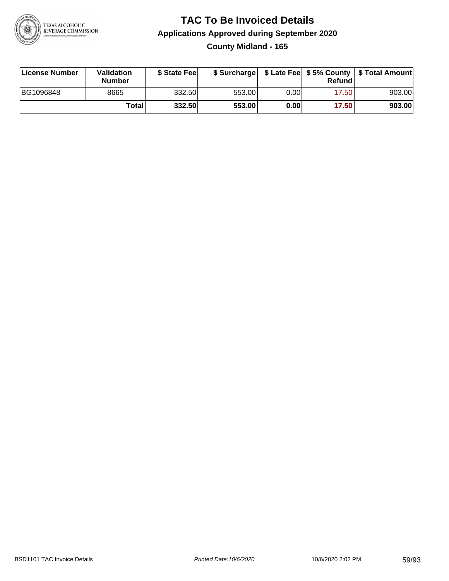

## **TAC To Be Invoiced Details Applications Approved during September 2020 County Midland - 165**

| License Number | Validation<br>Number | \$ State Fee |        |       | Refundl | \$ Surcharge   \$ Late Fee   \$5% County   \$ Total Amount |
|----------------|----------------------|--------------|--------|-------|---------|------------------------------------------------------------|
| BG1096848      | 8665                 | 332.50       | 553.00 | 0.001 | 17.50   | 903.00                                                     |
|                | Totall               | 332.50       | 553.00 | 0.00  | 17.50   | 903.00                                                     |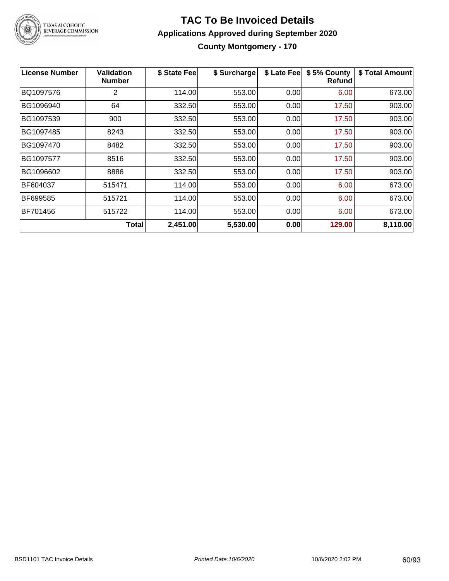

**County Montgomery - 170**

| <b>License Number</b> | <b>Validation</b><br><b>Number</b> | \$ State Fee | \$ Surcharge | \$ Late Fee | \$5% County<br><b>Refund</b> | \$ Total Amount |
|-----------------------|------------------------------------|--------------|--------------|-------------|------------------------------|-----------------|
| BQ1097576             | 2                                  | 114.00       | 553.00       | 0.00        | 6.00                         | 673.00          |
| BG1096940             | 64                                 | 332.50       | 553.00       | 0.00        | 17.50                        | 903.00          |
| BG1097539             | 900                                | 332.50       | 553.00       | 0.00        | 17.50                        | 903.00          |
| BG1097485             | 8243                               | 332.50       | 553.00       | 0.00        | 17.50                        | 903.00          |
| BG1097470             | 8482                               | 332.50       | 553.00       | 0.00        | 17.50                        | 903.00          |
| BG1097577             | 8516                               | 332.50       | 553.00       | 0.00        | 17.50                        | 903.00          |
| BG1096602             | 8886                               | 332.50       | 553.00       | 0.00        | 17.50                        | 903.00          |
| IBF604037             | 515471                             | 114.00       | 553.00       | 0.00        | 6.00                         | 673.00          |
| BF699585              | 515721                             | 114.00       | 553.00       | 0.00        | 6.00                         | 673.00          |
| BF701456              | 515722                             | 114.00       | 553.00       | 0.00        | 6.00                         | 673.00          |
|                       | <b>Total</b>                       | 2,451.00     | 5,530.00     | 0.00        | 129.00                       | 8,110.00        |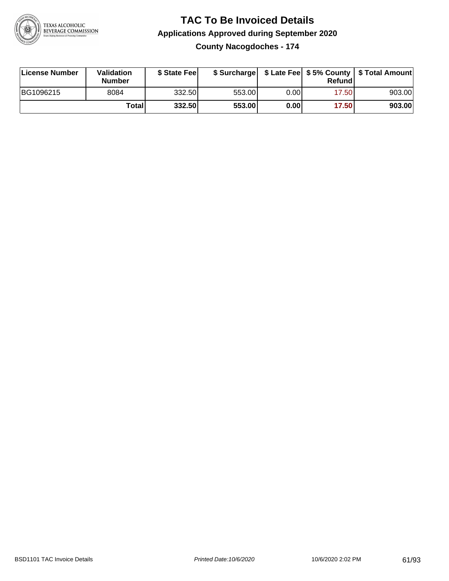

**County Nacogdoches - 174**

| License Number | <b>Validation</b><br><b>Number</b> | \$ State Fee | \$ Surcharge |       | Refundl |        |
|----------------|------------------------------------|--------------|--------------|-------|---------|--------|
| BG1096215      | 8084                               | 332.50       | 553.00       | 0.00I | 17.501  | 903.00 |
|                | Totall                             | 332.50       | 553.00       | 0.00  | 17.50   | 903.00 |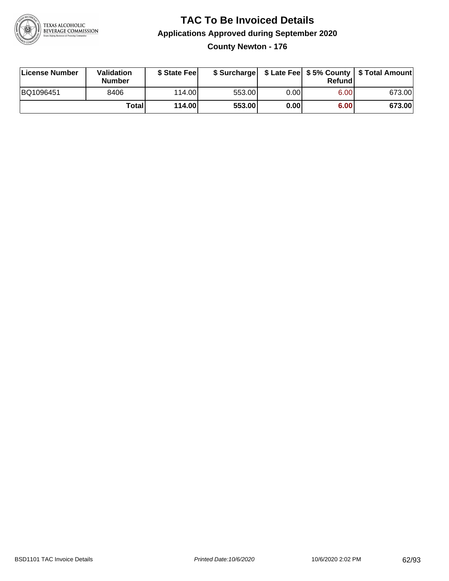

**County Newton - 176**

| License Number | <b>Validation</b><br><b>Number</b> | \$ State Feel |        |       | Refundl | \$ Surcharge   \$ Late Fee   \$5% County   \$ Total Amount |
|----------------|------------------------------------|---------------|--------|-------|---------|------------------------------------------------------------|
| BQ1096451      | 8406                               | 114.00        | 553.00 | 0.001 | 6.00    | 673.00                                                     |
|                | Totall                             | 114.00        | 553.00 | 0.00  | 6.00    | 673.00                                                     |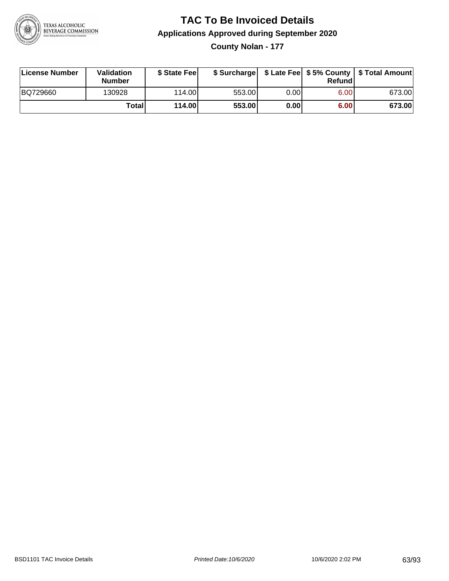

**County Nolan - 177**

| License Number | <b>Validation</b><br><b>Number</b> | \$ State Fee | \$ Surcharge |        | Refundl | \$ Late Fee   \$5% County   \$ Total Amount |
|----------------|------------------------------------|--------------|--------------|--------|---------|---------------------------------------------|
| BQ729660       | 130928                             | 114.00L      | 553.00       | 0.00 l | 6.00    | 673.00                                      |
|                | Totall                             | 114.00       | 553.00       | 0.00   | 6.00    | 673.00                                      |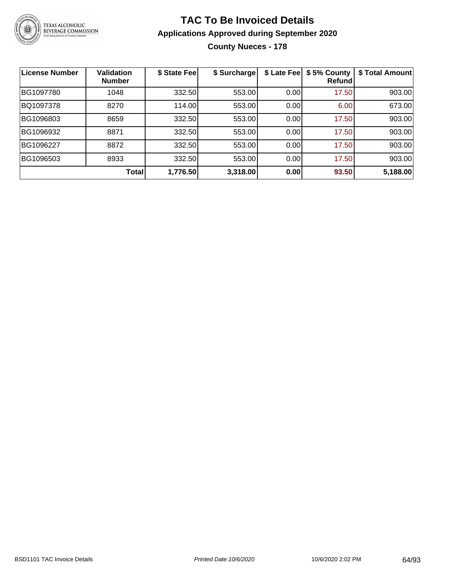

# **TAC To Be Invoiced Details Applications Approved during September 2020 County Nueces - 178**

| <b>License Number</b> | <b>Validation</b><br><b>Number</b> | \$ State Fee | \$ Surcharge | \$ Late Fee | \$5% County<br>Refund | \$ Total Amount |
|-----------------------|------------------------------------|--------------|--------------|-------------|-----------------------|-----------------|
| BG1097780             | 1048                               | 332.50       | 553.00       | 0.00        | 17.50                 | 903.00          |
| BQ1097378             | 8270                               | 114.00       | 553.00       | 0.00        | 6.00                  | 673.00          |
| BG1096803             | 8659                               | 332.50       | 553.00       | 0.00        | 17.50                 | 903.00          |
| BG1096932             | 8871                               | 332.50       | 553.00       | 0.00        | 17.50                 | 903.00          |
| BG1096227             | 8872                               | 332.50       | 553.00       | 0.00        | 17.50                 | 903.00          |
| BG1096503             | 8933                               | 332.50       | 553.00       | 0.00        | 17.50                 | 903.00          |
|                       | Total                              | 1,776.50     | 3,318.00     | 0.00        | 93.50                 | 5,188.00        |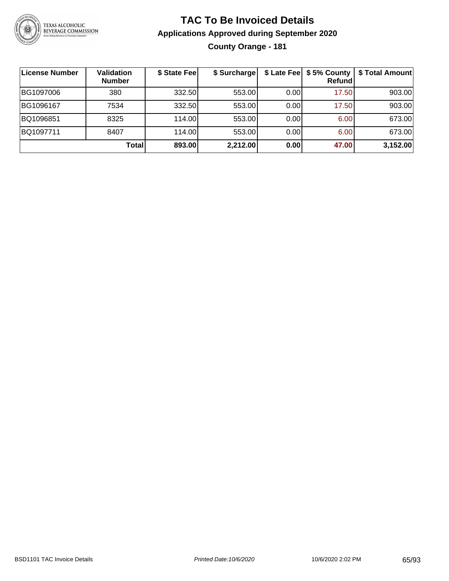

# **TAC To Be Invoiced Details Applications Approved during September 2020 County Orange - 181**

| License Number | <b>Validation</b><br><b>Number</b> | \$ State Fee | \$ Surcharge |       | <b>Refund</b> | \$ Late Fee   \$5% County   \$ Total Amount |
|----------------|------------------------------------|--------------|--------------|-------|---------------|---------------------------------------------|
| BG1097006      | 380                                | 332.50       | 553.00       | 0.00  | 17.50         | 903.00                                      |
| BG1096167      | 7534                               | 332.50       | 553.00       | 0.001 | 17.50         | 903.00                                      |
| BQ1096851      | 8325                               | 114.00       | 553.00       | 0.00  | 6.00          | 673.00                                      |
| BQ1097711      | 8407                               | 114.00       | 553.00       | 0.00  | 6.00          | 673.00                                      |
|                | Total                              | 893.00       | 2,212.00     | 0.00  | 47.00         | 3,152.00                                    |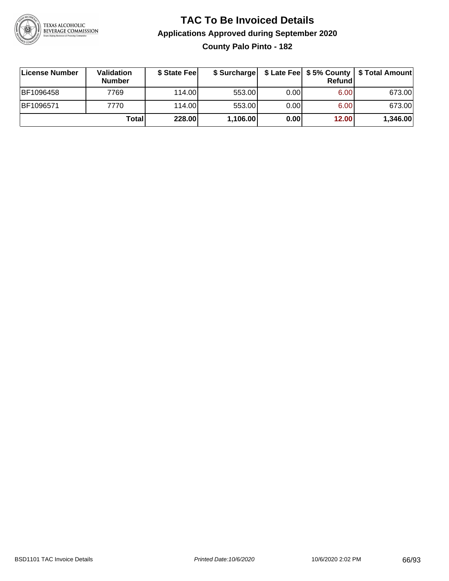

**County Palo Pinto - 182**

| License Number | Validation<br>Number | \$ State Fee | \$ Surcharge |       | Refundl | \$ Late Fee   \$5% County   \$ Total Amount |
|----------------|----------------------|--------------|--------------|-------|---------|---------------------------------------------|
| BF1096458      | 7769                 | 114.00       | 553.00       | 0.001 | 6.00    | 673.00                                      |
| BF1096571      | 7770                 | 114.00       | 553.00       | 0.001 | 6.00    | 673.00                                      |
|                | Totall               | 228.00       | 1,106.00     | 0.00  | 12.00   | 1,346.00                                    |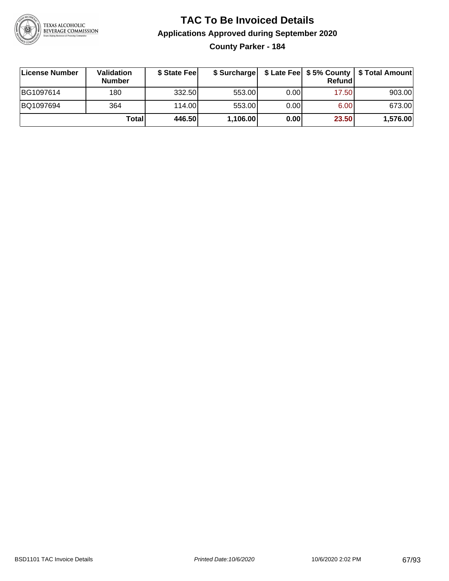

**County Parker - 184**

| ∣License Number | <b>Validation</b><br><b>Number</b> | \$ State Fee | \$ Surcharge |       | <b>Refund</b> | \$ Late Fee   \$5% County   \$ Total Amount |
|-----------------|------------------------------------|--------------|--------------|-------|---------------|---------------------------------------------|
| BG1097614       | 180                                | 332.50       | 553.00       | 0.001 | 17.50         | 903.00                                      |
| BQ1097694       | 364                                | 114.00       | 553.00       | 0.001 | 6.00          | 673.00                                      |
|                 | Totall                             | 446.50       | 1,106.00     | 0.00  | 23.50         | 1,576.00                                    |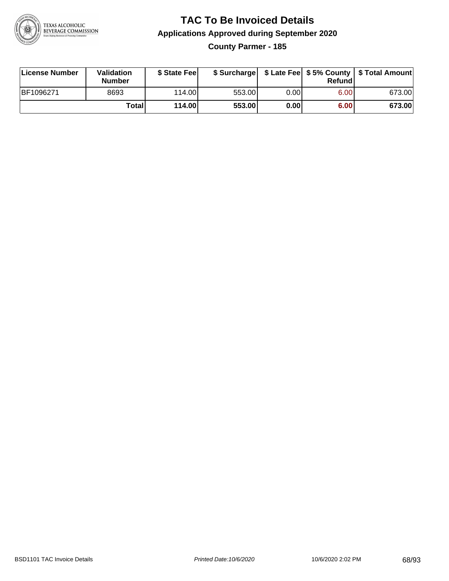

## **TAC To Be Invoiced Details Applications Approved during September 2020 County Parmer - 185**

| License Number | Validation<br><b>Number</b> | \$ State Fee |        |      | Refundl | \$ Surcharge   \$ Late Fee   \$5% County   \$ Total Amount |
|----------------|-----------------------------|--------------|--------|------|---------|------------------------------------------------------------|
| BF1096271      | 8693                        | 114.00       | 553.00 | 0.00 | 6.00    | 673.00                                                     |
|                | Totall                      | 114.00       | 553.00 | 0.00 | 6.00    | 673.00                                                     |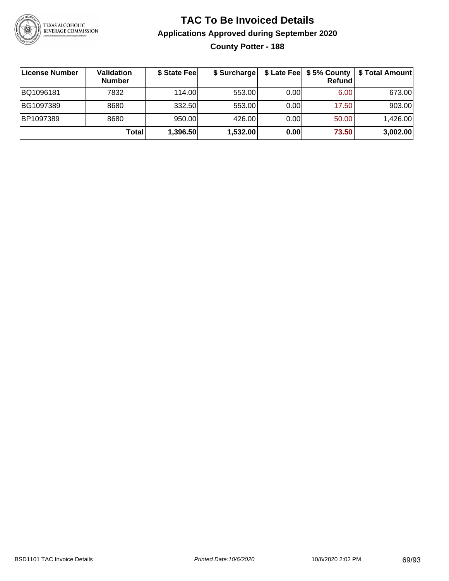

## **TAC To Be Invoiced Details Applications Approved during September 2020 County Potter - 188**

| License Number | Validation<br><b>Number</b> | \$ State Fee | \$ Surcharge |      | Refund | \$ Late Fee   \$5% County   \$ Total Amount |
|----------------|-----------------------------|--------------|--------------|------|--------|---------------------------------------------|
| BQ1096181      | 7832                        | 114.00       | 553.00       | 0.00 | 6.00   | 673.00                                      |
| BG1097389      | 8680                        | 332.50       | 553.00       | 0.00 | 17.50  | 903.00                                      |
| BP1097389      | 8680                        | 950.00       | 426.00       | 0.00 | 50.00  | 1,426.00                                    |
|                | Totall                      | 1,396.50     | 1,532.00     | 0.00 | 73.50  | 3,002.00                                    |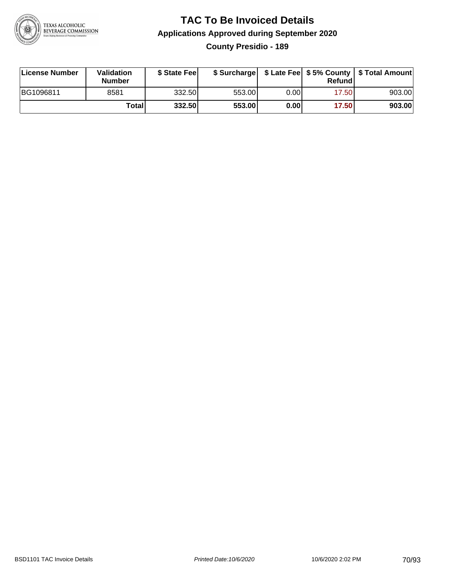

## **TAC To Be Invoiced Details Applications Approved during September 2020 County Presidio - 189**

| License Number | Validation<br><b>Number</b> | \$ State Fee |        |      | Refund | \$ Surcharge   \$ Late Fee   \$5% County   \$ Total Amount |
|----------------|-----------------------------|--------------|--------|------|--------|------------------------------------------------------------|
| BG1096811      | 8581                        | 332.50       | 553.00 | 0.00 | 17.50  | 903.00                                                     |
|                | Totall                      | 332.50       | 553.00 | 0.00 | 17.50  | 903.00                                                     |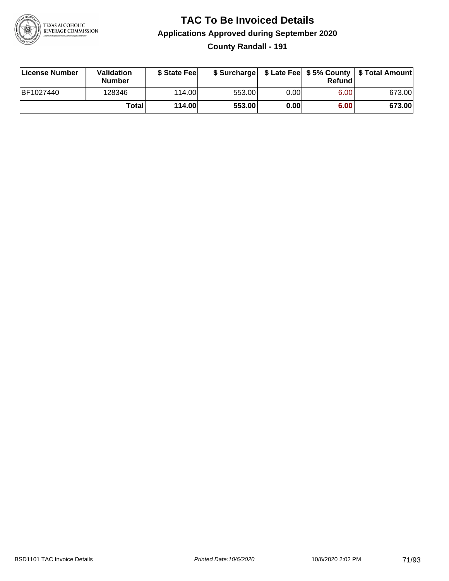

## **TAC To Be Invoiced Details Applications Approved during September 2020 County Randall - 191**

| License Number | Validation<br><b>Number</b> | \$ State Fee |        |      | Refund | \$ Surcharge   \$ Late Fee   \$5% County   \$ Total Amount |
|----------------|-----------------------------|--------------|--------|------|--------|------------------------------------------------------------|
| BF1027440      | 128346                      | 114.00       | 553.00 | 0.00 | 6.00   | 673.00                                                     |
|                | Totall                      | 114.00       | 553.00 | 0.00 | 6.00   | 673.00                                                     |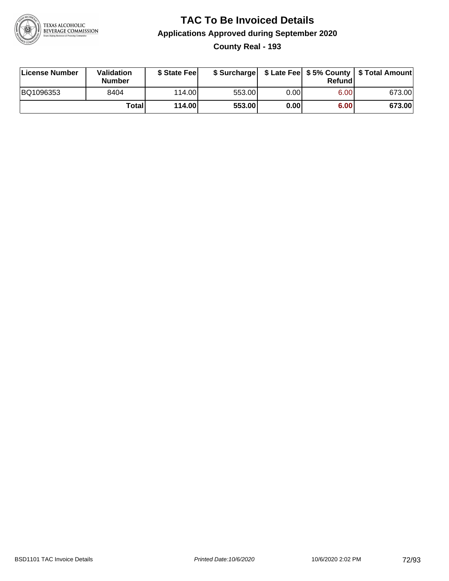

## **TAC To Be Invoiced Details Applications Approved during September 2020 County Real - 193**

| License Number | Validation<br>Number | \$ State Fee | \$ Surcharge |      | Refund | \$ Late Fee   \$5% County   \$ Total Amount |
|----------------|----------------------|--------------|--------------|------|--------|---------------------------------------------|
| BQ1096353      | 8404                 | 114.00       | 553.00       | 0.00 | 6.00   | 673.00                                      |
|                | <b>Total</b>         | 114.00       | 553.00       | 0.00 | 6.00   | 673.00                                      |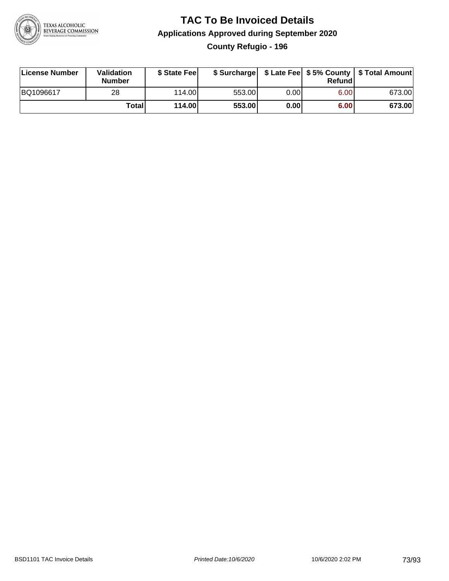

### **TAC To Be Invoiced Details Applications Approved during September 2020 County Refugio - 196**

| License Number | Validation<br><b>Number</b> | \$ State Fee | \$ Surcharge |      | Refund | \$ Late Fee   \$5% County   \$ Total Amount |
|----------------|-----------------------------|--------------|--------------|------|--------|---------------------------------------------|
| BQ1096617      | 28                          | 114.00       | 553.00       | 0.00 | 6.00   | 673.00                                      |
|                | Totall                      | 114.00       | 553.00       | 0.00 | 6.00   | 673.00                                      |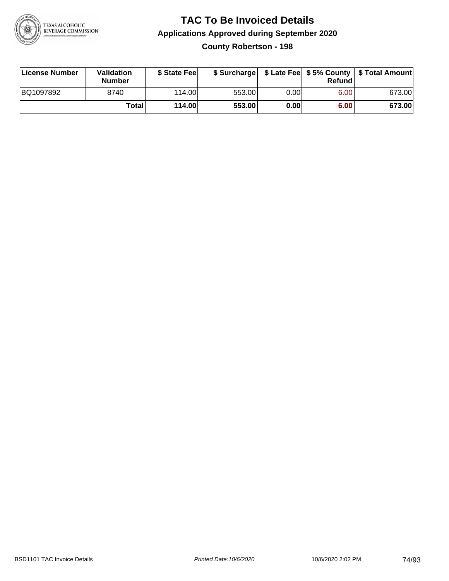

**County Robertson - 198**

| License Number | <b>Validation</b><br><b>Number</b> | \$ State Feel |        |      | Refundl | \$ Surcharge   \$ Late Fee   \$5% County   \$ Total Amount |
|----------------|------------------------------------|---------------|--------|------|---------|------------------------------------------------------------|
| BQ1097892      | 8740                               | 114.00        | 553.00 | 0.00 | 6.00    | 673.00                                                     |
|                | <b>Total</b>                       | 114.00        | 553.00 | 0.00 | 6.00    | 673.00                                                     |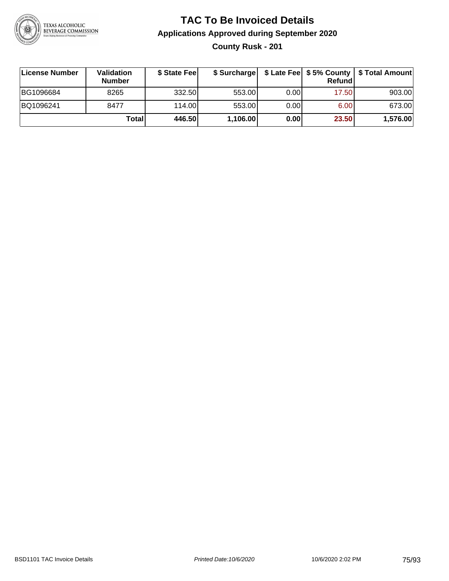

**County Rusk - 201**

| License Number | <b>Validation</b><br><b>Number</b> | \$ State Feel | \$ Surcharge |       | Refundl |          |
|----------------|------------------------------------|---------------|--------------|-------|---------|----------|
| BG1096684      | 8265                               | 332.50        | 553.00       | 0.001 | 17.50   | 903.00   |
| BQ1096241      | 8477                               | 114.00        | 553.00       | 0.001 | 6.00    | 673.00   |
|                | Totall                             | 446.50        | 1,106.00     | 0.00  | 23.50   | 1,576.00 |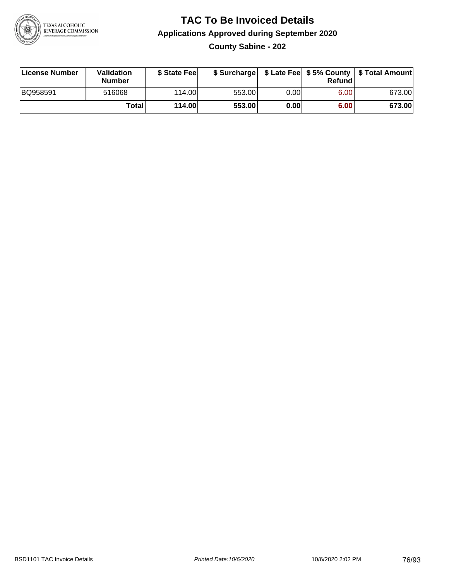

### **TAC To Be Invoiced Details Applications Approved during September 2020 County Sabine - 202**

| License Number | Validation<br><b>Number</b> | \$ State Feel |        |      | Refundl | \$ Surcharge   \$ Late Fee   \$5% County   \$ Total Amount |
|----------------|-----------------------------|---------------|--------|------|---------|------------------------------------------------------------|
| BQ958591       | 516068                      | 114.00        | 553.00 | 0.00 | 6.00    | 673.00                                                     |
|                | Totall                      | 114.00        | 553.00 | 0.00 | 6.00    | 673.00                                                     |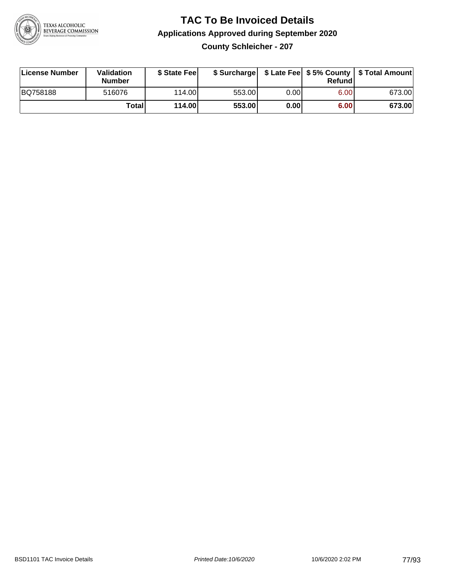

**County Schleicher - 207**

| License Number | <b>Validation</b><br><b>Number</b> | \$ State Fee | \$ Surcharge |       | Refundl |        |
|----------------|------------------------------------|--------------|--------------|-------|---------|--------|
| BQ758188       | 516076                             | 114.00L      | 553.00       | 0.00I | 6.00    | 673.00 |
|                | Totall                             | 114.00       | 553.00       | 0.00  | 6.00    | 673.00 |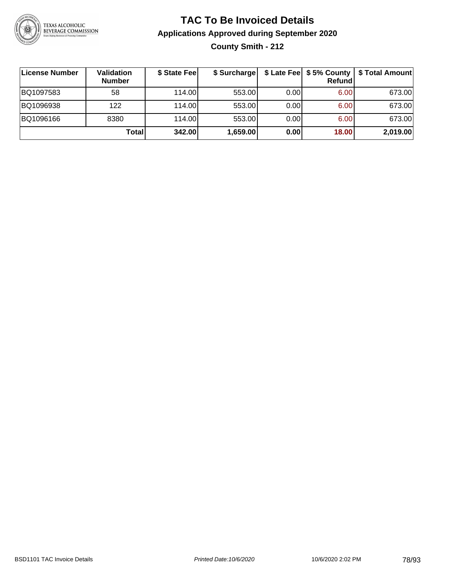

**County Smith - 212**

| ∣License Number | Validation<br><b>Number</b> | \$ State Fee | \$ Surcharge |       | Refundl | \$ Late Fee   \$5% County   \$ Total Amount |
|-----------------|-----------------------------|--------------|--------------|-------|---------|---------------------------------------------|
| BQ1097583       | 58                          | 114.00L      | 553.00       | 0.00  | 6.00    | 673.00                                      |
| BQ1096938       | 122                         | 114.00L      | 553.00       | 0.00  | 6.00    | 673.00                                      |
| BQ1096166       | 8380                        | 114.00L      | 553.00       | 0.001 | 6.00    | 673.00                                      |
|                 | Totall                      | 342.00       | 1,659.00     | 0.00  | 18.00   | 2,019.00                                    |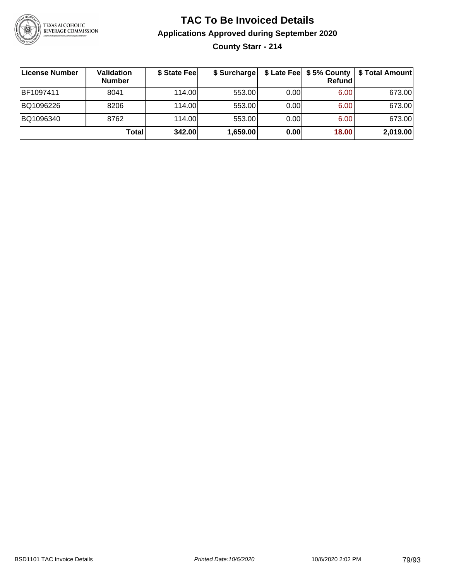

### **TAC To Be Invoiced Details Applications Approved during September 2020 County Starr - 214**

| ∣License Number | Validation<br><b>Number</b> | \$ State Fee | \$ Surcharge |       | $$$ Late Fee $$$ 5% County  <br>Refundl | \$ Total Amount |
|-----------------|-----------------------------|--------------|--------------|-------|-----------------------------------------|-----------------|
| BF1097411       | 8041                        | 114.00L      | 553.00       | 0.001 | 6.00                                    | 673.00          |
| BQ1096226       | 8206                        | 114.00L      | 553.00       | 0.00  | 6.00                                    | 673.00          |
| BQ1096340       | 8762                        | 114.00       | 553.00       | 0.00  | 6.00                                    | 673.00          |
|                 | Total                       | 342.00       | 1,659.00     | 0.00  | 18.00                                   | 2,019.00        |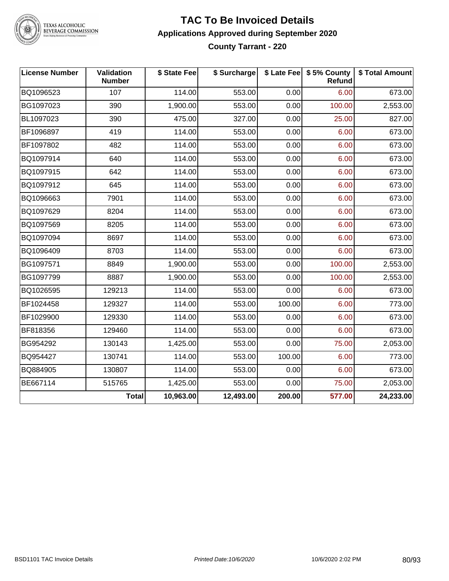

TEXAS ALCOHOLIC<br>BEVERAGE COMMISSION

### **TAC To Be Invoiced Details Applications Approved during September 2020 County Tarrant - 220**

| <b>License Number</b> | Validation<br><b>Number</b> | \$ State Fee | \$ Surcharge |        | \$ Late Fee   \$5% County<br>Refund | \$ Total Amount |
|-----------------------|-----------------------------|--------------|--------------|--------|-------------------------------------|-----------------|
| BQ1096523             | 107                         | 114.00       | 553.00       | 0.00   | 6.00                                | 673.00          |
| BG1097023             | 390                         | 1,900.00     | 553.00       | 0.00   | 100.00                              | 2,553.00        |
| BL1097023             | 390                         | 475.00       | 327.00       | 0.00   | 25.00                               | 827.00          |
| BF1096897             | 419                         | 114.00       | 553.00       | 0.00   | 6.00                                | 673.00          |
| BF1097802             | 482                         | 114.00       | 553.00       | 0.00   | 6.00                                | 673.00          |
| BQ1097914             | 640                         | 114.00       | 553.00       | 0.00   | 6.00                                | 673.00          |
| BQ1097915             | 642                         | 114.00       | 553.00       | 0.00   | 6.00                                | 673.00          |
| BQ1097912             | 645                         | 114.00       | 553.00       | 0.00   | 6.00                                | 673.00          |
| BQ1096663             | 7901                        | 114.00       | 553.00       | 0.00   | 6.00                                | 673.00          |
| BQ1097629             | 8204                        | 114.00       | 553.00       | 0.00   | 6.00                                | 673.00          |
| BQ1097569             | 8205                        | 114.00       | 553.00       | 0.00   | 6.00                                | 673.00          |
| BQ1097094             | 8697                        | 114.00       | 553.00       | 0.00   | 6.00                                | 673.00          |
| BQ1096409             | 8703                        | 114.00       | 553.00       | 0.00   | 6.00                                | 673.00          |
| BG1097571             | 8849                        | 1,900.00     | 553.00       | 0.00   | 100.00                              | 2,553.00        |
| BG1097799             | 8887                        | 1,900.00     | 553.00       | 0.00   | 100.00                              | 2,553.00        |
| BQ1026595             | 129213                      | 114.00       | 553.00       | 0.00   | 6.00                                | 673.00          |
| BF1024458             | 129327                      | 114.00       | 553.00       | 100.00 | 6.00                                | 773.00          |
| BF1029900             | 129330                      | 114.00       | 553.00       | 0.00   | 6.00                                | 673.00          |
| BF818356              | 129460                      | 114.00       | 553.00       | 0.00   | 6.00                                | 673.00          |
| BG954292              | 130143                      | 1,425.00     | 553.00       | 0.00   | 75.00                               | 2,053.00        |
| BQ954427              | 130741                      | 114.00       | 553.00       | 100.00 | 6.00                                | 773.00          |
| BQ884905              | 130807                      | 114.00       | 553.00       | 0.00   | 6.00                                | 673.00          |
| BE667114              | 515765                      | 1,425.00     | 553.00       | 0.00   | 75.00                               | 2,053.00        |
|                       | <b>Total</b>                | 10,963.00    | 12,493.00    | 200.00 | 577.00                              | 24,233.00       |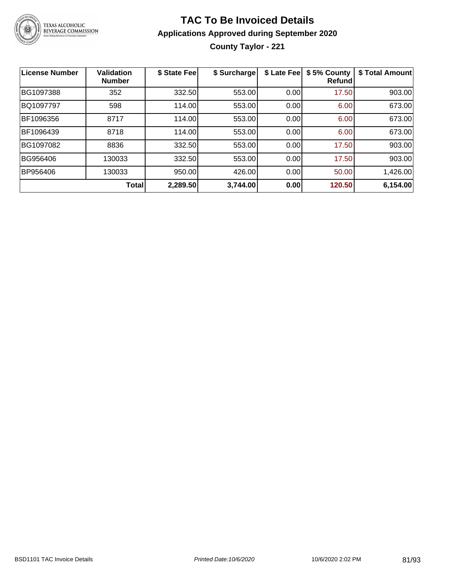

**County Taylor - 221**

| <b>License Number</b> | Validation<br><b>Number</b> | \$ State Fee | \$ Surcharge | \$ Late Fee | \$5% County<br>Refundl | \$ Total Amount |
|-----------------------|-----------------------------|--------------|--------------|-------------|------------------------|-----------------|
| BG1097388             | 352                         | 332.50       | 553.00       | 0.00        | 17.50                  | 903.00          |
| BQ1097797             | 598                         | 114.00       | 553.00       | 0.00        | 6.00                   | 673.00          |
| BF1096356             | 8717                        | 114.00       | 553.00       | 0.00        | 6.00                   | 673.00          |
| BF1096439             | 8718                        | 114.00       | 553.00       | 0.00        | 6.00                   | 673.00          |
| BG1097082             | 8836                        | 332.50       | 553.00       | 0.00        | 17.50                  | 903.00          |
| BG956406              | 130033                      | 332.50       | 553.00       | 0.00        | 17.50                  | 903.00          |
| BP956406              | 130033                      | 950.00       | 426.00       | 0.00        | 50.00                  | 1,426.00        |
|                       | Total                       | 2,289.50     | 3,744.00     | 0.00        | 120.50                 | 6,154.00        |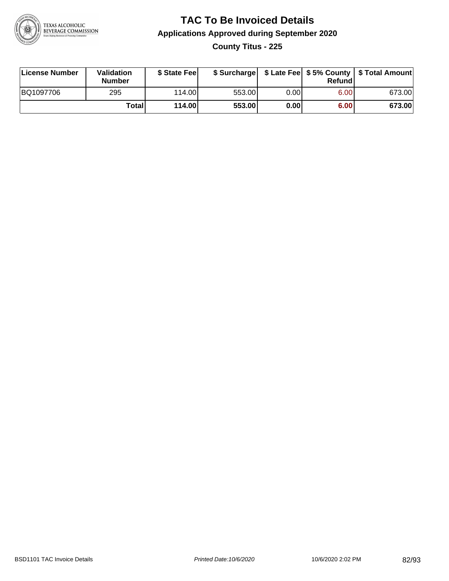

### **TAC To Be Invoiced Details Applications Approved during September 2020 County Titus - 225**

| License Number | Validation<br>Number | \$ State Fee |        |      | Refund | \$ Surcharge   \$ Late Fee   \$5% County   \$ Total Amount |
|----------------|----------------------|--------------|--------|------|--------|------------------------------------------------------------|
| BQ1097706      | 295                  | 114.00L      | 553.00 | 0.00 | 6.00   | 673.00                                                     |
|                | Totall               | 114.00       | 553.00 | 0.00 | 6.00   | 673.00                                                     |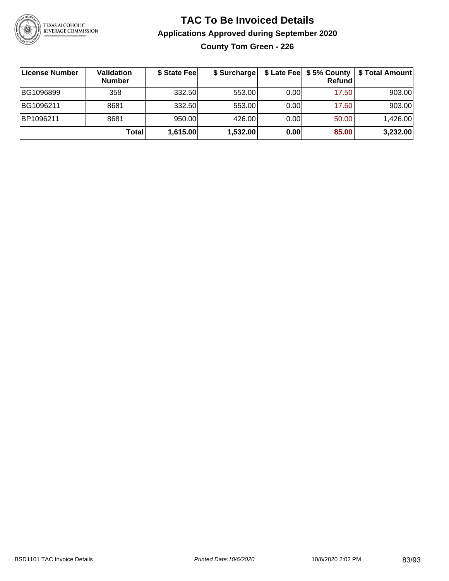

**County Tom Green - 226**

| License Number | <b>Validation</b><br><b>Number</b> | \$ State Fee | \$ Surcharge |       | Refundl | \$ Late Fee   \$5% County   \$ Total Amount |
|----------------|------------------------------------|--------------|--------------|-------|---------|---------------------------------------------|
| BG1096899      | 358                                | 332.50       | 553.00       | 0.001 | 17.50   | 903.00                                      |
| BG1096211      | 8681                               | 332.50       | 553.00       | 0.001 | 17.50   | 903.00                                      |
| BP1096211      | 8681                               | 950.00       | 426.00       | 0.001 | 50.00   | 1,426.00                                    |
|                | Totall                             | 1,615.00     | 1,532.00     | 0.00  | 85.00   | 3,232.00                                    |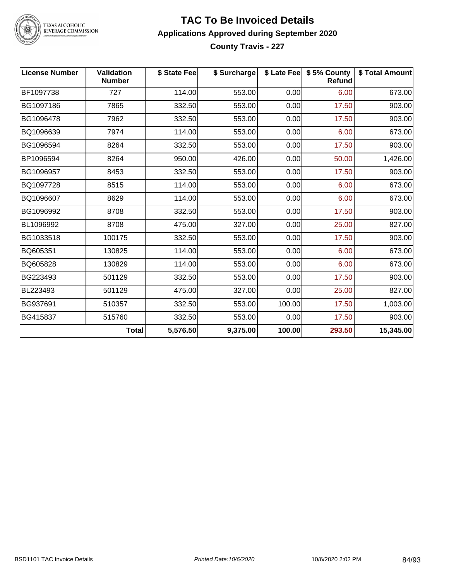

TEXAS ALCOHOLIC<br>BEVERAGE COMMISSION

#### **TAC To Be Invoiced Details Applications Approved during September 2020 County Travis - 227**

| <b>License Number</b> | <b>Validation</b><br><b>Number</b> | \$ State Fee | \$ Surcharge |        | \$ Late Fee   \$5% County<br><b>Refund</b> | \$ Total Amount |
|-----------------------|------------------------------------|--------------|--------------|--------|--------------------------------------------|-----------------|
| BF1097738             | 727                                | 114.00       | 553.00       | 0.00   | 6.00                                       | 673.00          |
| BG1097186             | 7865                               | 332.50       | 553.00       | 0.00   | 17.50                                      | 903.00          |
| BG1096478             | 7962                               | 332.50       | 553.00       | 0.00   | 17.50                                      | 903.00          |
| BQ1096639             | 7974                               | 114.00       | 553.00       | 0.00   | 6.00                                       | 673.00          |
| BG1096594             | 8264                               | 332.50       | 553.00       | 0.00   | 17.50                                      | 903.00          |
| BP1096594             | 8264                               | 950.00       | 426.00       | 0.00   | 50.00                                      | 1,426.00        |
| BG1096957             | 8453                               | 332.50       | 553.00       | 0.00   | 17.50                                      | 903.00          |
| BQ1097728             | 8515                               | 114.00       | 553.00       | 0.00   | 6.00                                       | 673.00          |
| BQ1096607             | 8629                               | 114.00       | 553.00       | 0.00   | 6.00                                       | 673.00          |
| BG1096992             | 8708                               | 332.50       | 553.00       | 0.00   | 17.50                                      | 903.00          |
| BL1096992             | 8708                               | 475.00       | 327.00       | 0.00   | 25.00                                      | 827.00          |
| BG1033518             | 100175                             | 332.50       | 553.00       | 0.00   | 17.50                                      | 903.00          |
| BQ605351              | 130825                             | 114.00       | 553.00       | 0.00   | 6.00                                       | 673.00          |
| BQ605828              | 130829                             | 114.00       | 553.00       | 0.00   | 6.00                                       | 673.00          |
| BG223493              | 501129                             | 332.50       | 553.00       | 0.00   | 17.50                                      | 903.00          |
| BL223493              | 501129                             | 475.00       | 327.00       | 0.00   | 25.00                                      | 827.00          |
| BG937691              | 510357                             | 332.50       | 553.00       | 100.00 | 17.50                                      | 1,003.00        |
| BG415837              | 515760                             | 332.50       | 553.00       | 0.00   | 17.50                                      | 903.00          |
|                       | <b>Total</b>                       | 5,576.50     | 9,375.00     | 100.00 | 293.50                                     | 15,345.00       |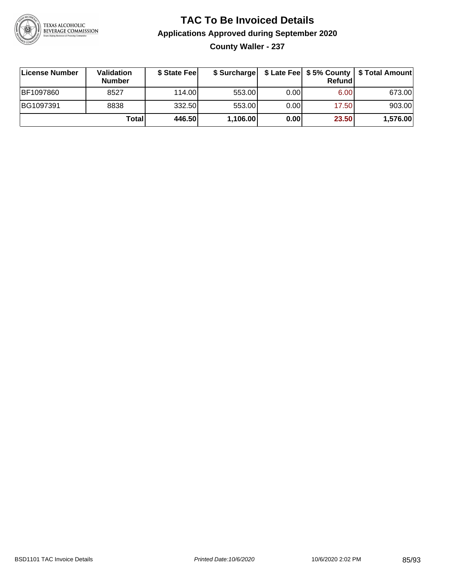

**County Waller - 237**

| ∣License Number | <b>Validation</b><br><b>Number</b> | \$ State Feel | \$ Surcharge |       | <b>Refund</b> | \$ Late Fee   \$5% County   \$ Total Amount |
|-----------------|------------------------------------|---------------|--------------|-------|---------------|---------------------------------------------|
| BF1097860       | 8527                               | 114.00        | 553.00       | 0.001 | 6.00          | 673.00                                      |
| BG1097391       | 8838                               | 332.50        | 553.00       | 0.001 | 17.50         | 903.00                                      |
|                 | Totall                             | 446.50        | 1,106.00     | 0.00  | 23.50         | 1,576.00                                    |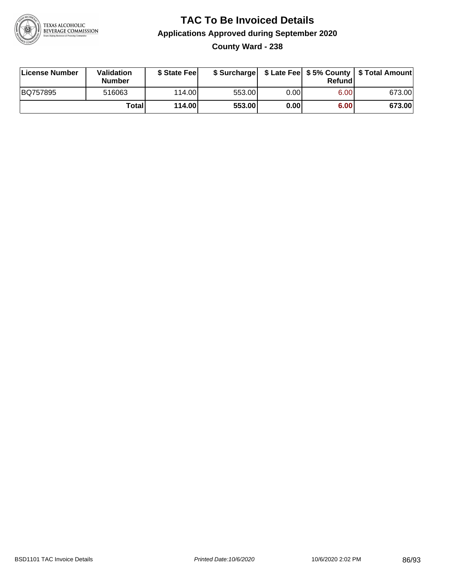

**County Ward - 238**

| License Number | <b>Validation</b><br>Number | \$ State Fee | \$ Surcharge |          | Refundl |        |
|----------------|-----------------------------|--------------|--------------|----------|---------|--------|
| BQ757895       | 516063                      | 114.00       | 553.00       | $0.00\,$ | 6.00    | 673.00 |
|                | Totall                      | 114.00       | 553.00       | 0.00     | 6.00    | 673.00 |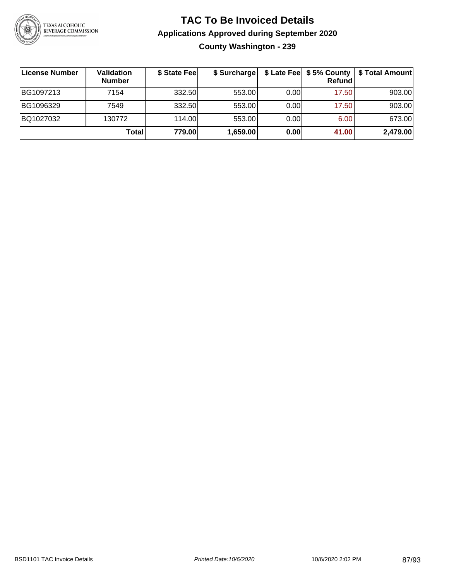

### **TAC To Be Invoiced Details Applications Approved during September 2020 County Washington - 239**

| ∣License Number | <b>Validation</b><br><b>Number</b> | \$ State Fee | \$ Surcharge |       | Refundl | \$ Late Fee   \$5% County   \$ Total Amount |
|-----------------|------------------------------------|--------------|--------------|-------|---------|---------------------------------------------|
| BG1097213       | 7154                               | 332.50       | 553.00       | 0.001 | 17.50   | 903.00                                      |
| BG1096329       | 7549                               | 332.50       | 553.00       | 0.00  | 17.50   | 903.00                                      |
| BQ1027032       | 130772                             | 114.00       | 553.00       | 0.00  | 6.00    | 673.00                                      |
|                 | <b>Total</b>                       | 779.00       | 1,659.00     | 0.00  | 41.00   | 2,479.00                                    |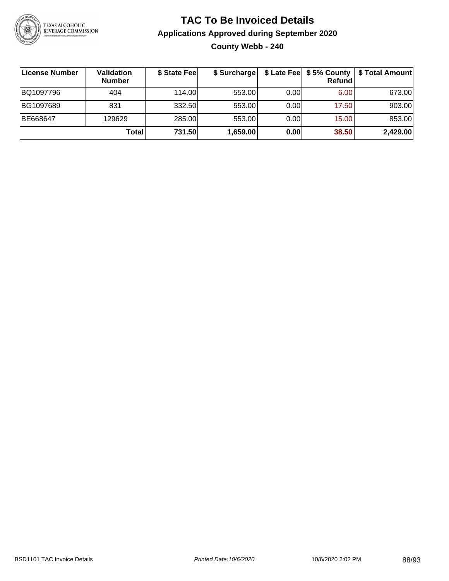

### **TAC To Be Invoiced Details Applications Approved during September 2020 County Webb - 240**

| License Number | <b>Validation</b><br><b>Number</b> | \$ State Fee | \$ Surcharge |      | \$ Late Fee   \$5% County  <br><b>Refund</b> | \$ Total Amount |
|----------------|------------------------------------|--------------|--------------|------|----------------------------------------------|-----------------|
| BQ1097796      | 404                                | 114.00       | 553.00       | 0.00 | 6.00                                         | 673.00          |
| BG1097689      | 831                                | 332.50       | 553.00       | 0.00 | 17.50                                        | 903.00          |
| BE668647       | 129629                             | 285.00       | 553.00       | 0.00 | 15.00                                        | 853.00          |
|                | Totall                             | 731.50       | 1,659.00     | 0.00 | 38.50                                        | 2,429.00        |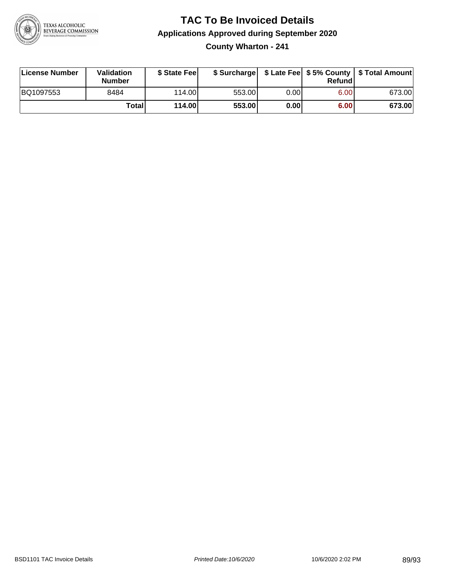

### **TAC To Be Invoiced Details Applications Approved during September 2020 County Wharton - 241**

| License Number | Validation<br>Number | \$ State Fee | \$ Surcharge |      | Refund | \$ Late Fee   \$5% County   \$ Total Amount |
|----------------|----------------------|--------------|--------------|------|--------|---------------------------------------------|
| BQ1097553      | 8484                 | 114.00       | 553.00       | 0.00 | 6.00   | 673.00                                      |
|                | Totall               | 114.00       | 553.00       | 0.00 | 6.00   | 673.00                                      |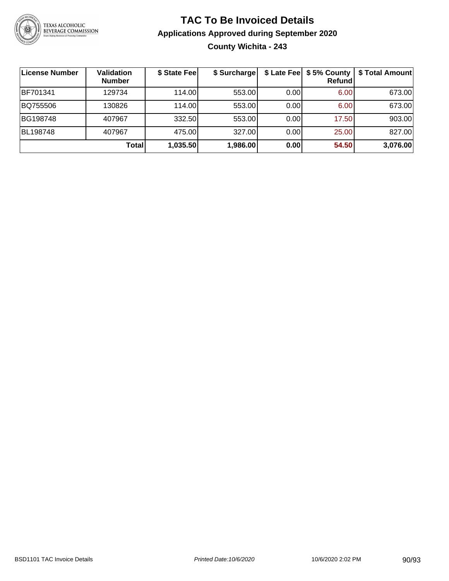

### **TAC To Be Invoiced Details Applications Approved during September 2020 County Wichita - 243**

| <b>License Number</b> | Validation<br><b>Number</b> | \$ State Fee | \$ Surcharge |      | \$ Late Fee   \$5% County  <br><b>Refund</b> | \$ Total Amount |
|-----------------------|-----------------------------|--------------|--------------|------|----------------------------------------------|-----------------|
| BF701341              | 129734                      | 114.00       | 553.00       | 0.00 | 6.00                                         | 673.00          |
| BQ755506              | 130826                      | 114.00       | 553.00       | 0.00 | 6.00                                         | 673.00          |
| BG198748              | 407967                      | 332.50       | 553.00       | 0.00 | 17.50                                        | 903.00          |
| BL198748              | 407967                      | 475.00       | 327.00       | 0.00 | 25.00                                        | 827.00          |
|                       | Total                       | 1,035.50     | 1,986.00     | 0.00 | 54.50                                        | 3,076.00        |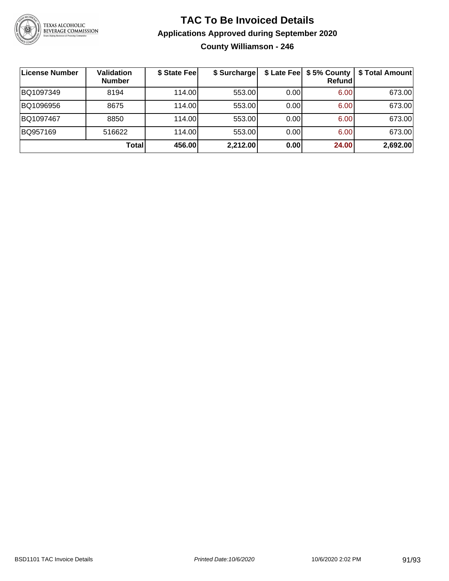

### **TAC To Be Invoiced Details Applications Approved during September 2020 County Williamson - 246**

| <b>License Number</b> | <b>Validation</b><br><b>Number</b> | \$ State Fee | \$ Surcharge |      | \$ Late Fee   \$5% County  <br>Refundl | \$ Total Amount |
|-----------------------|------------------------------------|--------------|--------------|------|----------------------------------------|-----------------|
| BQ1097349             | 8194                               | 114.00L      | 553.00       | 0.00 | 6.00                                   | 673.00          |
| BQ1096956             | 8675                               | 114.00       | 553.00       | 0.00 | 6.00                                   | 673.00          |
| BQ1097467             | 8850                               | 114.00       | 553.00       | 0.00 | 6.00                                   | 673.00          |
| BQ957169              | 516622                             | 114.00L      | 553.00       | 0.00 | 6.00                                   | 673.00          |
|                       | <b>Total</b>                       | 456.00       | 2,212.00     | 0.00 | 24.00                                  | 2,692.00        |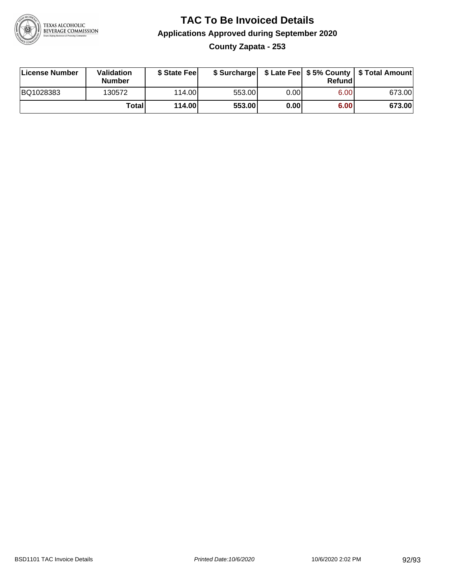

### **TAC To Be Invoiced Details Applications Approved during September 2020 County Zapata - 253**

| License Number | Validation<br><b>Number</b> | \$ State Fee |        |      | Refund | \$ Surcharge   \$ Late Fee   \$5% County   \$ Total Amount |
|----------------|-----------------------------|--------------|--------|------|--------|------------------------------------------------------------|
| BQ1028383      | 130572                      | 114.00       | 553.00 | 0.00 | 6.00   | 673.00                                                     |
|                | Totall                      | 114.00       | 553.00 | 0.00 | 6.00   | 673.00                                                     |